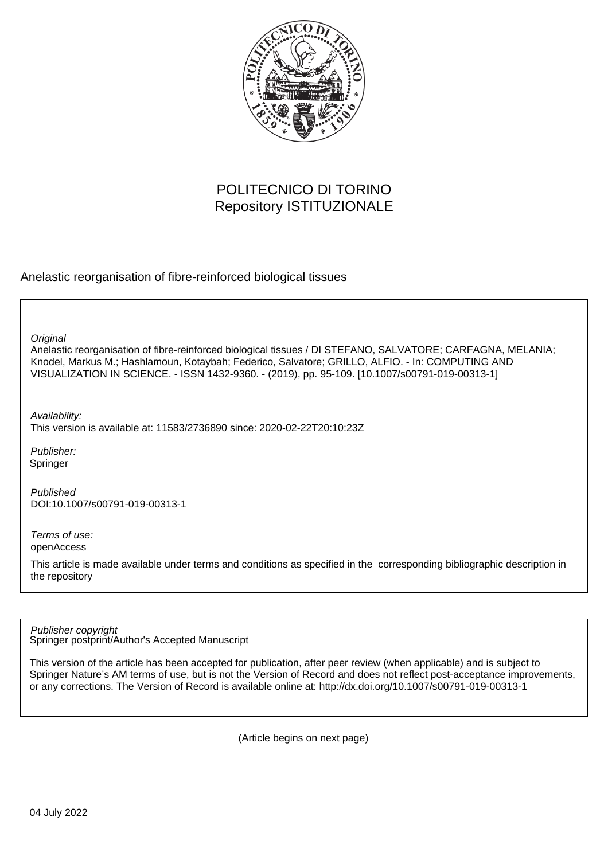

# POLITECNICO DI TORINO Repository ISTITUZIONALE

Anelastic reorganisation of fibre-reinforced biological tissues

**Original** 

Anelastic reorganisation of fibre-reinforced biological tissues / DI STEFANO, SALVATORE; CARFAGNA, MELANIA; Knodel, Markus M.; Hashlamoun, Kotaybah; Federico, Salvatore; GRILLO, ALFIO. - In: COMPUTING AND VISUALIZATION IN SCIENCE. - ISSN 1432-9360. - (2019), pp. 95-109. [10.1007/s00791-019-00313-1]

Availability:

This version is available at: 11583/2736890 since: 2020-02-22T20:10:23Z

Publisher: Springer

Published DOI:10.1007/s00791-019-00313-1

Terms of use: openAccess

This article is made available under terms and conditions as specified in the corresponding bibliographic description in the repository

Springer postprint/Author's Accepted Manuscript Publisher copyright

This version of the article has been accepted for publication, after peer review (when applicable) and is subject to Springer Nature's AM terms of use, but is not the Version of Record and does not reflect post-acceptance improvements, or any corrections. The Version of Record is available online at: http://dx.doi.org/10.1007/s00791-019-00313-1

(Article begins on next page)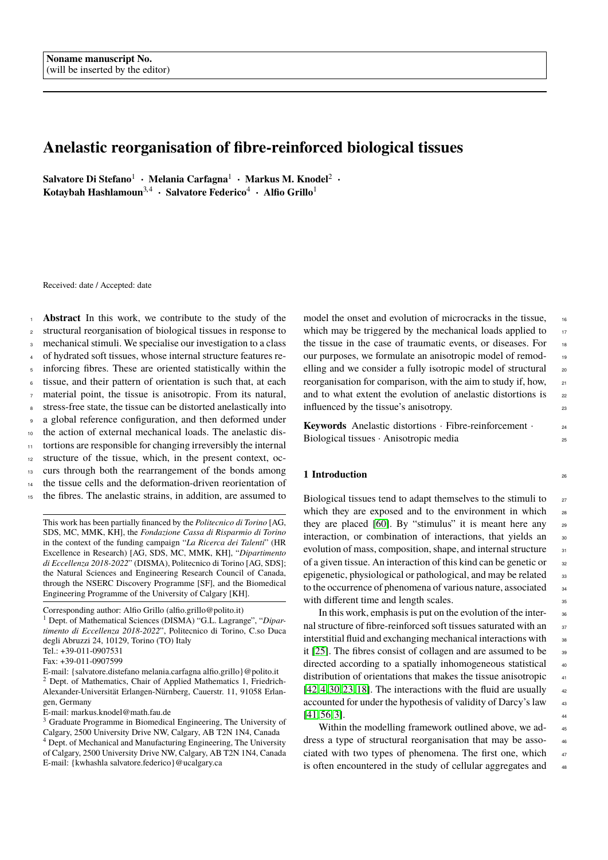## **Anelastic reorganisation of fibre-reinforced biological tissues**

**Salvatore Di Stefano**<sup>1</sup> · **Melania Carfagna**<sup>1</sup> · **Markus M. Knodel**<sup>2</sup> · **Kotaybah Hashlamoun**3,<sup>4</sup> · **Salvatore Federico**<sup>4</sup> · **Alfio Grillo**<sup>1</sup>

Received: date / Accepted: date

 **Abstract** In this work, we contribute to the study of the structural reorganisation of biological tissues in response to mechanical stimuli. We specialise our investigation to a class of hydrated soft tissues, whose internal structure features re- inforcing fibres. These are oriented statistically within the tissue, and their pattern of orientation is such that, at each material point, the tissue is anisotropic. From its natural, stress-free state, the tissue can be distorted anelastically into a global reference configuration, and then deformed under the action of external mechanical loads. The anelastic dis- tortions are responsible for changing irreversibly the internal structure of the tissue, which, in the present context, oc- curs through both the rearrangement of the bonds among the tissue cells and the deformation-driven reorientation of the fibres. The anelastic strains, in addition, are assumed to

This work has been partially financed by the *Politecnico di Torino* [AG, SDS, MC, MMK, KH], the *Fondazione Cassa di Risparmio di Torino* in the context of the funding campaign "*La Ricerca dei Talenti*" (HR Excellence in Research) [AG, SDS, MC, MMK, KH], "*Dipartimento di Eccellenza 2018-2022*" (DISMA), Politecnico di Torino [AG, SDS]; the Natural Sciences and Engineering Research Council of Canada, through the NSERC Discovery Programme [SF], and the Biomedical Engineering Programme of the University of Calgary [KH].

<sup>1</sup> Dept. of Mathematical Sciences (DISMA) "G.L. Lagrange", "*Dipartimento di Eccellenza 2018-2022*", Politecnico di Torino, C.so Duca degli Abruzzi 24, 10129, Torino (TO) Italy

E-mail: markus.knodel@math.fau.de

model the onset and evolution of microcracks in the tissue, 16 which may be triggered by the mechanical loads applied to  $17$ the tissue in the case of traumatic events, or diseases. For 18 our purposes, we formulate an anisotropic model of remod- <sup>19</sup> elling and we consider a fully isotropic model of structural 20 reorganisation for comparison, with the aim to study if, how, <sup>21</sup> and to what extent the evolution of anelastic distortions is  $22$ influenced by the tissue's anisotropy. 23

**Keywords** Anelastic distortions · Fibre-reinforcement · 24 Biological tissues · Anisotropic media 25

## **1 Introduction** <sup>26</sup>

Biological tissues tend to adapt themselves to the stimuli to <sub>27</sub> which they are exposed and to the environment in which 28 they are placed [60]. By "stimulus" it is meant here any  $_{29}$ interaction, or combination of interactions, that yields an 30 evolution of mass, composition, shape, and internal structure  $\frac{31}{31}$ of a given tissue. An interaction of this kind can be genetic or  $\frac{32}{2}$ epigenetic, physiological or pathological, and may be related  $\frac{33}{2}$ to the occurrence of phenomena of various nature, associated <sub>34</sub> with different time and length scales.

In this work, emphasis is put on the evolution of the inter-<br><sub>36</sub> nal structure of fibre-reinforced soft tissues saturated with an 37 interstitial fluid and exchanging mechanical interactions with <sub>38</sub> it [25]. The fibres consist of collagen and are assumed to be  $\frac{39}{2}$ directed according to a spatially inhomogeneous statistical 40 distribution of orientations that makes the tissue anisotropic  $\frac{41}{41}$  $[42, 4, 30, 23, 18]$ . The interactions with the fluid are usually  $42$ accounted for under the hypothesis of validity of Darcy's law  $43$  $[41, 56, 3]$ .

Within the modelling framework outlined above, we address a type of structural reorganisation that may be asso- <sup>46</sup> ciated with two types of phenomena. The first one, which 47 is often encountered in the study of cellular aggregates and 48

Corresponding author: Alfio Grillo (alfio.grillo@polito.it)

Tel.: +39-011-0907531

Fax: +39-011-0907599

E-mail: {salvatore.distefano melania.carfagna alfio.grillo}@polito.it <sup>2</sup> Dept. of Mathematics, Chair of Applied Mathematics 1, Friedrich-Alexander-Universität Erlangen-Nürnberg, Cauerstr. 11, 91058 Erlangen, Germany

<sup>3</sup> Graduate Programme in Biomedical Engineering, The University of Calgary, 2500 University Drive NW, Calgary, AB T2N 1N4, Canada <sup>4</sup> Dept. of Mechanical and Manufacturing Engineering, The University of Calgary, 2500 University Drive NW, Calgary, AB T2N 1N4, Canada E-mail: {kwhashla salvatore.federico}@ucalgary.ca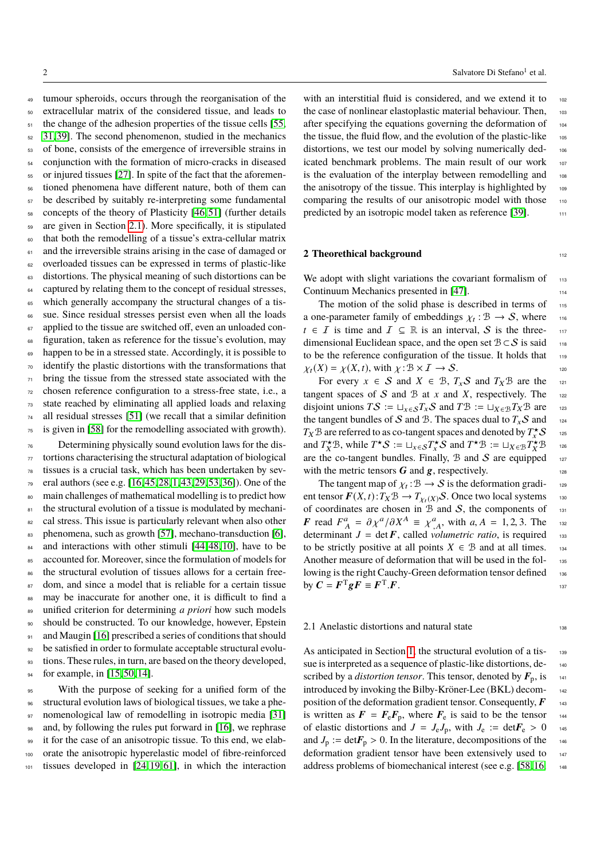tumour spheroids, occurs through the reorganisation of the extracellular matrix of the considered tissue, and leads to 51 the change of the adhesion properties of the tissue cells [55, 31, 39]. The second phenomenon, studied in the mechanics of bone, consists of the emergence of irreversible strains in conjunction with the formation of micro-cracks in diseased or injured tissues [27]. In spite of the fact that the aforemen- tioned phenomena have different nature, both of them can be described by suitably re-interpreting some fundamental concepts of the theory of Plasticity [46, 51] (further details are given in Section 2.1). More specifically, it is stipulated that both the remodelling of a tissue's extra-cellular matrix <sup>61</sup> and the irreversible strains arising in the case of damaged or overloaded tissues can be expressed in terms of plastic-like distortions. The physical meaning of such distortions can be captured by relating them to the concept of residual stresses, which generally accompany the structural changes of a tis- sue. Since residual stresses persist even when all the loads applied to the tissue are switched off, even an unloaded con- figuration, taken as reference for the tissue's evolution, may happen to be in a stressed state. Accordingly, it is possible to identify the plastic distortions with the transformations that bring the tissue from the stressed state associated with the chosen reference configuration to a stress-free state, i.e., a state reached by eliminating all applied loads and relaxing all residual stresses [51] (we recall that a similar definition is given in [58] for the remodelling associated with growth).

<sup>76</sup> Determining physically sound evolution laws for the dis- $77$  tortions characterising the structural adaptation of biological <sup>78</sup> tissues is a crucial task, which has been undertaken by sev-<sup>79</sup> eral authors (see e.g. [16, 45, 28, 1, 43, 29, 53, 36]). One of the <sup>80</sup> main challenges of mathematical modelling is to predict how 81 the structural evolution of a tissue is modulated by mechani-<sup>82</sup> cal stress. This issue is particularly relevant when also other 83 phenomena, such as growth [57], mechano-transduction [6], 84 and interactions with other stimuli [44, 48, 10], have to be 85 accounted for. Moreover, since the formulation of models for 86 the structural evolution of tissues allows for a certain free-87 dom, and since a model that is reliable for a certain tissue 88 may be inaccurate for another one, it is difficult to find a <sup>89</sup> unified criterion for determining *a priori* how such models <sup>90</sup> should be constructed. To our knowledge, however, Epstein 91 and Maugin [16] prescribed a series of conditions that should <sup>92</sup> be satisfied in order to formulate acceptable structural evolu-<sup>93</sup> tions. These rules, in turn, are based on the theory developed, 94 for example, in [15, 50, 14].

 With the purpose of seeking for a unified form of the structural evolution laws of biological tissues, we take a phe-97 nomenological law of remodelling in isotropic media [31] and, by following the rules put forward in [16], we rephrase it for the case of an anisotropic tissue. To this end, we elab- orate the anisotropic hyperelastic model of fibre-reinforced tissues developed in [24, 19, 61], in which the interaction

with an interstitial fluid is considered, and we extend it to 102 the case of nonlinear elastoplastic material behaviour. Then, 103 after specifying the equations governing the deformation of 104 the tissue, the fluid flow, and the evolution of the plastic-like  $105$ distortions, we test our model by solving numerically dedicated benchmark problems. The main result of our work 107 is the evaluation of the interplay between remodelling and 108 the anisotropy of the tissue. This interplay is highlighted by  $_{109}$ comparing the results of our anisotropic model with those 110 predicted by an isotropic model taken as reference [39]. 111

## **2 Theorethical background** 112

We adopt with slight variations the covariant formalism of  $_{113}$ Continuum Mechanics presented in [47].

The motion of the solid phase is described in terms of 115 a one-parameter family of embeddings  $\chi_t : \mathcal{B} \to \mathcal{S}$ , where  $t \in \mathcal{T}$  is time and  $\mathcal{T} \subset \mathbb{R}$  is an interval  $\mathcal{S}$  is the three *t* ∈ *I* is time and  $I \subseteq \mathbb{R}$  is an interval, *S* is the threedimensional Euclidean space, and the open set  $\mathcal{B} \subset \mathcal{S}$  is said 118 to be the reference configuration of the tissue. It holds that 119  $\chi_t(X) = \chi(X, t)$ , with  $\chi: B \times I \to S$ .<br>For every  $x \in S$  and  $X \in B$ ,  $T \cup S$  and  $T \vee B$  are the

For every  $x \in S$  and  $X \in B$ ,  $T_xS$  and  $T_xB$  are the tangent spaces of  $S$  and  $B$  at  $x$  and  $X$ , respectively. The 122 disjoint unions  $TS := \sqcup_{x \in S} T_x S$  and  $TB := \sqcup_{X \in B} T_X B$  are 123 the tangent bundles of S and B. The spaces dual to  $T_xS$  and 124  $T_X \mathcal{B}$  are referred to as co-tangent spaces and denoted by  $T_x^{\star} \mathcal{S}$  125 and *T*<sup>\*</sup> $\mathcal{B}$ , while *T*<sup>\*</sup> $S := \sqcup_{x \in S} T_x^* S$  and  $T^* \mathcal{B} := \sqcup_{X \in \mathcal{B}} T_X^* \mathcal{B}$  126 are the co-tangent bundles. Finally,  $\mathcal B$  and  $\mathcal S$  are equipped  $_{127}$ with the metric tensors  $G$  and  $g$ , respectively.

The tangent map of  $\chi_t : \mathcal{B} \to \mathcal{S}$  is the deformation gradi-<br>tensor  $\mathbf{F}(\mathbf{Y}, t) \cdot \mathcal{T} \cdot \mathcal{B} \to \mathcal{T}$  and  $\mathcal{S}$ . Once two local systems ent tensor  $\mathbf{F}(X, t): T_X \mathcal{B} \to T_{\chi_t(X)}S$ . Once two local systems of coordinates are chosen in  $\mathcal{B}$  and  $S$ , the components of of coordinates are chosen in  $B$  and  $S$ , the components of *F* read  $F_A^a = \partial \chi^a / \partial X^A \equiv \chi^a_{,A}$ , with *a*, *A* = 1, 2, 3. The asseterminant *J* = det *F*, called *volumetric ratio*, is required 133 to be strictly positive at all points  $X \in \mathcal{B}$  and at all times. 134 Another measure of deformation that will be used in the fol-<br>135 lowing is the right Cauchy-Green deformation tensor defined 136 by  $C = F^T g F \equiv F^T$  $\boldsymbol{F}$ . 137

#### 2.1 Anelastic distortions and natural state 138

As anticipated in Section 1, the structural evolution of a tissue is interpreted as a sequence of plastic-like distortions, described by a *distortion tensor*. This tensor, denoted by  $\mathbf{F}_p$ , is  $_{141}$ introduced by invoking the Bilby-Kröner-Lee (BKL) decom- <sup>142</sup> position of the deformation gradient tensor. Consequently,  $\boldsymbol{F}$  143 is written as  $\mathbf{F} = \mathbf{F}_e \mathbf{F}_p$ , where  $\mathbf{F}_e$  is said to be the tensor 144 of elastic distortions and  $J = J_e J_p$ , with  $J_e := \text{det} \mathbf{F}_e > 0$  145<br>and  $J_p := \text{det} \mathbf{F}_p > 0$ . In the literature, decompositions of the and  $J_p := \text{det} \mathbf{F}_p > 0$ . In the literature, decompositions of the deformation gradient tensor have been extensively used to deformation gradient tensor have been extensively used to address problems of biomechanical interest (see e.g. [58, 16, 148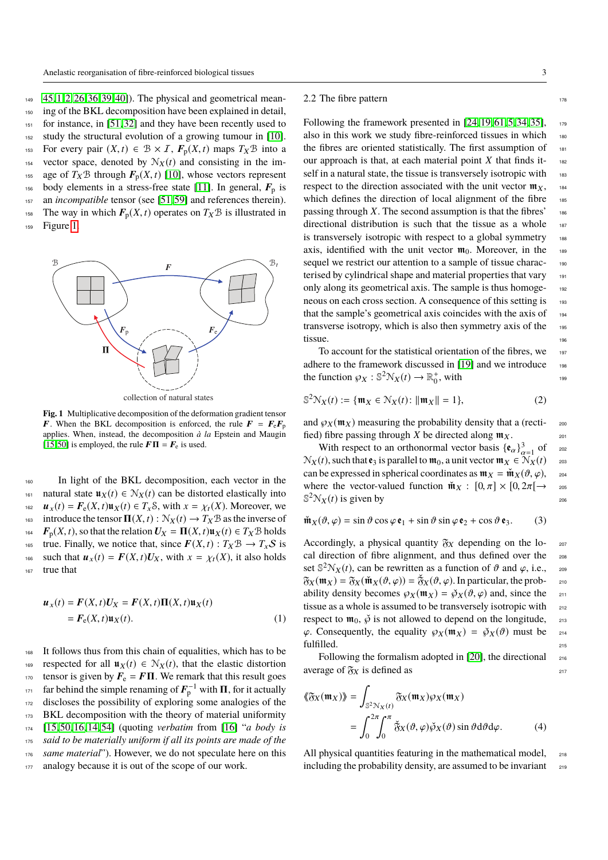<sup>149</sup> 45, 1, 2, 26, 36, 39, 40]). The physical and geometrical mean-<sup>150</sup> ing of the BKL decomposition have been explained in detail, <sup>151</sup> for instance, in [51, 32] and they have been recently used to 152 study the structural evolution of a growing tumour in [10]. <sup>153</sup> For every pair  $(X, t) \in \mathcal{B} \times \mathcal{I}$ ,  $\mathbf{F}_p(X, t)$  maps  $T_X \mathcal{B}$  into a vector space, denoted by  $\mathcal{N}_X(t)$  and consisting in the imvector space, denoted by  $N_X(t)$  and consisting in the im-<sup>155</sup> age of  $T_X \mathcal{B}$  through  $\mathbf{F}_p(X, t)$  [10], whose vectors represent body elements in a stress-free state [11]. In general,  $\mathbf{F}_p$  is body elements in a stress-free state [11]. In general,  $F_p$  is 157 an *incompatible* tensor (see [51,59] and references therein). <sup>158</sup> The way in which  $F_p(X, t)$  operates on  $T_X \mathcal{B}$  is illustrated in<br><sup>159</sup> Figure 1. Figure 1.



collection of natural states

**Fig. 1** Multiplicative decomposition of the deformation gradient tensor **F**. When the BKL decomposition is enforced, the rule  $\mathbf{F} = \mathbf{F}_e \mathbf{F}_p$ applies. When, instead, the decomposition *à la* Epstein and Maugin [15, 50] is employed, the rule  $\mathbf{F}\Pi = \mathbf{F}_{\text{e}}$  is used.

<sup>160</sup> In light of the BKL decomposition, each vector in the 161 natural state  $\mathbf{u}_X(t) \in \mathcal{N}_X(t)$  can be distorted elastically into <sup>162</sup>  $u_x(t) = F_e(X, t)u_x(t) \in T_x \mathcal{S}$ , with  $x = \chi_t(X)$ . Moreover, we introduce the tensor  $\mathbf{\Pi}(X, t) : \mathcal{N}_x(t) \to T_x \mathcal{B}$  as the inverse of introduce the tensor **Π**(*X*, *t*) :  $\mathcal{N}_X(t)$  →  $T_X \mathcal{B}$  as the inverse of <br><sup>164</sup>  $\mathbf{F}_p(X, t)$ , so that the relation  $U_X = \mathbf{\Pi}(X, t) \mathbf{u}_X(t) \in T_X \mathcal{B}$  holds <sup>164</sup>  $F_p(X, t)$ , so that the relation  $U_X = \Pi(X, t) \mathbf{u}_X(t) \in T_X \mathcal{B}$  holds<br><sup>165</sup> true. Finally, we notice that, since  $F(X, t) : T_X \mathcal{B} \to T_X \mathcal{S}$  is true. Finally, we notice that, since  $F(X, t) : T_X \mathcal{B} \to T_X \mathcal{S}$  is<br>such that  $u_x(t) = F(X, t)U_X$ , with  $x = \chi_t(X)$ , it also holds 166 such that  $u_x(t) = F(X, t)U_X$ , with  $x = \chi_t(X)$ , it also holds that true that

$$
\mathbf{u}_x(t) = \mathbf{F}(X, t)\mathbf{U}_X = \mathbf{F}(X, t)\mathbf{\Pi}(X, t)\mathbf{u}_X(t)
$$
  
=  $\mathbf{F}_e(X, t)\mathbf{u}_X(t).$  (1)

<sup>168</sup> It follows thus from this chain of equalities, which has to be 169 respected for all  $\mathbf{u}_X(t) \in \mathcal{N}_X(t)$ , that the elastic distortion 170 tensor is given by  $\mathbf{F}_e = \mathbf{F}\boldsymbol{\Pi}$ . We remark that this result goes  $f_{171}$  far behind the simple renaming of  $\mathbf{F}_{p}^{-1}$  with  $\Pi$ , for it actually <sup>172</sup> discloses the possibility of exploring some analogies of the 173 BKL decomposition with the theory of material uniformity <sup>174</sup> [15, 50, 16, 14, 54] (quoting *verbatim* from [16] "*a body is* <sup>175</sup> *said to be materially uniform if all its points are made of the* <sup>176</sup> *same material*"). However, we do not speculate here on this 177 analogy because it is out of the scope of our work.

## 2.2 The fibre pattern 178

Following the framework presented in  $[24, 19, 61, 5, 34, 35]$ , 179 also in this work we study fibre-reinforced tissues in which 180 the fibres are oriented statistically. The first assumption of 181 our approach is that, at each material point  $X$  that finds itself in a natural state, the tissue is transversely isotropic with 183 respect to the direction associated with the unit vector  $\mathfrak{m}_{x}$ , 184 which defines the direction of local alignment of the fibre 185 passing through *X*. The second assumption is that the fibres'  $186$ directional distribution is such that the tissue as a whole 187 is transversely isotropic with respect to a global symmetry 188 axis, identified with the unit vector  $\mathfrak{m}_0$ . Moreover, in the 189 sequel we restrict our attention to a sample of tissue charac-<br>190 terised by cylindrical shape and material properties that vary 191 only along its geometrical axis. The sample is thus homoge-<br>192 neous on each cross section. A consequence of this setting is 193 that the sample's geometrical axis coincides with the axis of 194 transverse isotropy, which is also then symmetry axis of the 195  $t$ issue.  $196$ 

To account for the statistical orientation of the fibres, we 197 adhere to the framework discussed in [19] and we introduce 198 the function  $\wp_X : \mathbb{S}^2 \mathbb{N}_X(t) \to \mathbb{R}^+_0$ , with

$$
\mathbb{S}^{2} \mathcal{N}_{X}(t) := \{ \mathfrak{m}_{X} \in \mathcal{N}_{X}(t) \colon ||\mathfrak{m}_{X}|| = 1 \},\tag{2}
$$

and  $\wp_X(\mathfrak{m}_X)$  measuring the probability density that a (recti-<br>fied) fibre passing through X be directed along  $\mathfrak{m}_X$ . fied) fibre passing through *X* be directed along  $m<sub>X</sub>$ .

With respect to an orthonormal vector basis  $\{\mathbf{e}_{\alpha}\}_{\alpha=1}^{3}$  of  $\exp(i\mathbf{e}_{\alpha})$  such that  $\mathbf{e}_{2}$  is parallel to  $\mathbf{m}_{\alpha}$  a unit vector  $\mathbf{m}_{\mathbf{v}} \in \mathbb{N}_{\mathbf{v}}(t)$  $\mathcal{N}_X(t)$ , such that  $\mathbf{e}_3$  is parallel to  $\mathfrak{m}_0$ , a unit vector  $\mathfrak{m}_X \in \mathcal{N}_X(t)$  203 can be expressed in spherical coordinates as  $\mathfrak{m}_X = \check{\mathfrak{m}}_X(\vartheta, \varphi)$ ,  $\qquad$  204<br>where the vector-valued function  $\check{\mathfrak{m}}_X : [0, \pi] \times [0, 2\pi] \rightarrow$ where the vector-valued function  $\tilde{\mathbf{m}}_X : [0, \pi] \times [0, 2\pi] \rightarrow \mathbb{S}^2 \mathbb{N}_X(t)$  is given by  $\mathbb{S}^2 \mathcal{N}_X(t)$  is given by 206

$$
\mathbf{\hat{m}}_X(\vartheta, \varphi) = \sin \vartheta \cos \varphi \, \mathbf{e}_1 + \sin \vartheta \sin \varphi \, \mathbf{e}_2 + \cos \vartheta \, \mathbf{e}_3. \tag{3}
$$

Accordingly, a physical quantity  $\mathfrak{F}_X$  depending on the local direction of fibre alignment, and thus defined over the <sub>208</sub> set  $\mathbb{S}^2 \mathcal{N}_X(t)$ , can be rewritten as a function of  $\vartheta$  and  $\varphi$ , i.e.,  $\infty$ <br> $\mathbb{S}_{\mathcal{M}}(\mathbf{m}_X) - \mathbb{S}_{\mathcal{M}}(\mathbf{m}_X(t), \varphi) = \mathbb{S}_{\mathcal{M}}(\vartheta \varphi)$ . In particular the prob  $\mathfrak{F}_X(\mathfrak{m}_X) = \mathfrak{F}_X(\mathfrak{m}_X(\vartheta, \varphi)) = \mathfrak{F}_X(\vartheta, \varphi)$ . In particular, the prob-<br>ability density becomes  $\varphi_X(\mathfrak{m}_Y) = \varphi_Y(\vartheta, \varphi)$  and, since the ability density becomes  $\wp_X(\mathfrak{m}_X) = \check{\wp}_X(\vartheta, \varphi)$  and, since the 211<br>tissue as a whole is assumed to be transversely isotropic with tissue as a whole is assumed to be transversely isotropic with respect to  $\mathfrak{m}_0$ ,  $\check{\varphi}$  is not allowed to depend on the longitude,  $\varphi$ .<br>  $\varphi$ . Consequently, the equality  $\varphi_X(\mathfrak{m}_X) = \check{\varphi}_X(\vartheta)$  must be  $\varphi$ . Consequently, the equality  $\varphi_X(\mathfrak{m}_X) = \check{\varphi}_X(\vartheta)$  must be  $\varphi_1$  fulfilled. fulfilled.

Following the formalism adopted in [20], the directional  $_{216}$ average of  $\mathfrak{F}_X$  is defined as 217

$$
\langle \langle \mathfrak{F}_X(\mathfrak{m}_X) \rangle \rangle = \int_{\mathbb{S}^2 \mathcal{N}_X(t)} \mathfrak{F}_X(\mathfrak{m}_X) \wp_X(\mathfrak{m}_X)
$$
  
= 
$$
\int_0^{2\pi} \int_0^{\pi} \mathfrak{F}_X(\vartheta, \varphi) \wp_X(\vartheta) \sin \vartheta d\vartheta d\varphi.
$$
 (4)

All physical quantities featuring in the mathematical model, 218 including the probability density, are assumed to be invariant  $_{219}$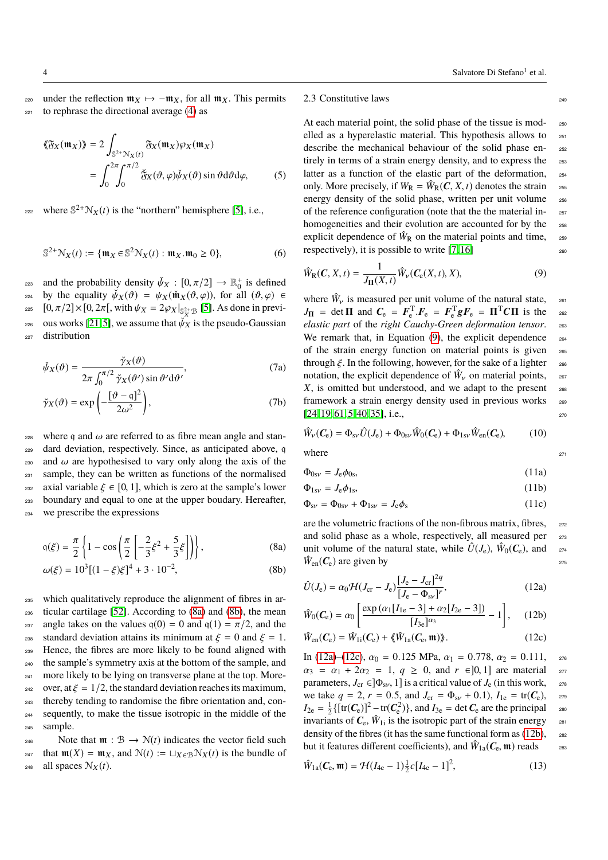220 under the reflection  $m_X \mapsto -m_X$ , for all  $m_X$ . This permits  $_{221}$  to rephrase the directional average (4) as

$$
\langle \langle \tilde{\mathfrak{F}}_X(\mathfrak{m}_X) \rangle \rangle = 2 \int_{\mathbb{S}^{2+} \mathcal{N}_X(t)} \tilde{\mathfrak{F}}_X(\mathfrak{m}_X) \wp_X(\mathfrak{m}_X)
$$
  
= 
$$
\int_0^{2\pi} \int_0^{\pi/2} \tilde{\mathfrak{F}}_X(\vartheta, \varphi) \check{\psi}_X(\vartheta) \sin \vartheta d\vartheta d\varphi,
$$
 (5)

where  $\mathbb{S}^{2+} \mathcal{N}_X(t)$  is the "northern" hemisphere [5], i.e.,

$$
\mathbb{S}^{2+} \mathcal{N}_X(t) := \{ \mathfrak{m}_X \in \mathbb{S}^2 \mathcal{N}_X(t) : \mathfrak{m}_X \cdot \mathfrak{m}_0 \ge 0 \},\tag{6}
$$

and the probability density  $\check{\psi}_X : [0, \pi/2] \to \mathbb{R}^+$  is defined<br>the equality  $\check{\psi}_{X'}(\mathcal{A}) = \psi_X(\check{\mathfrak{M}}_X(\mathcal{A} \setminus \mathcal{A}))$  for all  $(\mathcal{A} \setminus \mathcal{A}) \in$ by the equality  $\check{\psi}_X(\vartheta) = \psi_X(\check{\mathfrak{m}}_X(\vartheta, \varphi))$ , for all  $(\vartheta, \varphi) \in$ <br>225  $[0, \pi/2] \times [0, 2\pi]$ , with  $\psi_X = 2\varphi_X|_{\mathbb{S}^{2+\alpha}}$  [5]. As done in previ-225  $[0, \pi/2] \times [0, 2\pi]$ , with  $\psi_X = 2\wp_X|_{S^{2+}_{X} \to S}$  [5]. As done in previ-<sup>226</sup> ous works [21, 5], we assume that  $\psi_X$  is the pseudo-Gaussian distribution distribution

$$
\check{\psi}_X(\vartheta) = \frac{\check{\gamma}_X(\vartheta)}{2\pi \int_0^{\pi/2} \check{\gamma}_X(\vartheta') \sin \vartheta' d\vartheta'},\tag{7a}
$$

$$
2\pi \int_0^{\pi/2} \check{\gamma}_X(\vartheta') \sin \vartheta' d\vartheta'
$$

$$
\check{\gamma}_X(\vartheta) = \exp\left(-\frac{\left[\vartheta - q\right]^2}{2\omega^2}\right),\tag{7b}
$$

where q and ω are referred to as fibre mean angle and stan-<br>
<sup>229</sup> dard deviation, respectively. Since, as anticipated above, α dard deviation, respectively. Since, as anticipated above, q 230 and  $\omega$  are hypothesised to vary only along the axis of the sample, they can be written as functions of the normalised sample, they can be written as functions of the normalised 232 axial variable  $\xi \in [0, 1]$ , which is zero at the sample's lower<br>233 boundary and equal to one at the upper boudary. Hereafter, boundary and equal to one at the upper boudary. Hereafter, <sup>234</sup> we prescribe the expressions

$$
q(\xi) = \frac{\pi}{2} \left\{ 1 - \cos \left( \frac{\pi}{2} \left[ -\frac{2}{3} \xi^2 + \frac{5}{3} \xi \right] \right) \right\},\tag{8a}
$$

$$
\omega(\xi) = 10^3 [(1 - \xi)\xi]^4 + 3 \cdot 10^{-2},\tag{8b}
$$

<sup>235</sup> which qualitatively reproduce the alignment of fibres in ar-<sup>236</sup> ticular cartilage [52]. According to (8a) and (8b), the mean 237 angle takes on the values  $q(0) = 0$  and  $q(1) = \pi/2$ , and the standard deviation attains its minimum at  $\xi = 0$  and  $\xi = 1$ . 238 standard deviation attains its minimum at  $\xi = 0$  and  $\xi = 1$ .<br>
Hence, the fibres are more likely to be found aligned with Hence, the fibres are more likely to be found aligned with <sup>240</sup> the sample's symmetry axis at the bottom of the sample, and <sup>241</sup> more likely to be lying on transverse plane at the top. More-<sup>242</sup> over, at  $\xi = 1/2$ , the standard deviation reaches its maximum,<br><sup>243</sup> thereby tending to randomise the fibre orientation and. conthereby tending to randomise the fibre orientation and, con-<sup>244</sup> sequently, to make the tissue isotropic in the middle of the <sup>245</sup> sample.

246 Note that  $\mathfrak{m}: \mathcal{B} \to \mathcal{N}(t)$  indicates the vector field such <sup>247</sup> that  $\mathfrak{m}(X) = \mathfrak{m}_X$ , and  $\mathcal{N}(t) := \sqcup_{X \in \mathcal{B}} \mathcal{N}_X(t)$  is the bundle of <sup>248</sup> all spaces  $N_X(t)$ .

## 2.3 Constitutive laws

At each material point, the solid phase of the tissue is mod-<br>250 elled as a hyperelastic material. This hypothesis allows to 251 describe the mechanical behaviour of the solid phase entirely in terms of a strain energy density, and to express the 253 latter as a function of the elastic part of the deformation, 254 only. More precisely, if  $W_R = \hat{W}_R(C, X, t)$  denotes the strain energy density of the solid phase, written per unit volume  $\epsilon_{\text{ss}}$ energy density of the solid phase, written per unit volume of the reference configuration (note that the the material in- <sup>257</sup> homogeneities and their evolution are accounted for by the 258 explicit dependence of  $\hat{W}_{R}$  on the material points and time, 259 respectively), it is possible to write  $[7, 16]$  260

$$
\hat{W}_{\mathcal{R}}(\mathbf{C}, X, t) = \frac{1}{J_{\mathbf{\Pi}}(X, t)} \hat{W}_{\nu}(\mathbf{C}_{\mathbf{e}}(X, t), X),
$$
\n(9)

where  $\hat{W}_v$  is measured per unit volume of the natural state,<br> $V = \det \mathbf{H}$  and  $\mathbf{C} = \mathbf{E}^{\mathrm{T}} \mathbf{E} = \mathbf{E}^{\mathrm{T}} \circ \mathbf{E} = \mathbf{H}^{\mathrm{T}} \mathbf{C} \mathbf{H}$  is the  $J_{\Pi}$  = det  $\Pi$  and  $C_{\rm e} = F_{\rm e}^{\rm T} F_{\rm e} = F_{\rm e}^{\rm T} g F_{\rm e} = \Pi^{\rm T} C \Pi$  is the 262<br>electic part of the right Cauchy Green deformation tensor *elastic part* of the *right Cauchy-Green deformation tensor*. <sup>263</sup> We remark that, in Equation  $(9)$ , the explicit dependence  $_{264}$ of the strain energy function on material points is given <sup>265</sup> through  $\xi$ . In the following, however, for the sake of a lighter notation, the explicit dependence of  $\hat{W}_v$  on material points. notation, the explicit dependence of  $\hat{W}_y$  on material points, 267<br>*V* is emitted by understood, and we edge to the greent  $X$ , is omitted but understood, and we adapt to the present  $268$ framework a strain energy density used in previous works <sup>269</sup>  $[24, 19, 61, 5, 40, 35]$ , i.e.,  $270$ 

$$
\hat{W}_V(\mathbf{C}_e) = \Phi_{sv}\hat{U}(J_e) + \Phi_{0sv}\hat{W}_0(\mathbf{C}_e) + \Phi_{1sv}\hat{W}_{en}(\mathbf{C}_e),
$$
 (10)

where  $271$ 

$$
\Phi_{0s\nu} = J_e \phi_{0s},\tag{11a}
$$

$$
\Phi_{1s\nu} = J_e \phi_{1s},\tag{11b}
$$

$$
\Phi_{\rm sv} = \Phi_{\rm 0sv} + \Phi_{\rm 1sv} = J_{\rm e} \phi_{\rm s} \tag{11c}
$$

are the volumetric fractions of the non-fibrous matrix, fibres,  $272$ and solid phase as a whole, respectively, all measured per 273 unit volume of the natural state, while  $\hat{U}(J_e)$ ,  $\hat{W}_0(\mathbf{C}_e)$ , and  $z_{74}$  $\hat{W}_{en}(\mathcal{C}_{e})$  are given by 275

$$
\hat{U}(J_e) = \alpha_0 \mathcal{H}(J_{cr} - J_e) \frac{[J_e - J_{cr}]^{2q}}{[J_e - \Phi_{sv}]^r},\tag{12a}
$$

$$
\hat{W}_0(\mathbf{C}_e) = \alpha_0 \left[ \frac{\exp\left(\alpha_1 [I_{1e} - 3] + \alpha_2 [I_{2e} - 3] \right)}{[I_{3e}]^{\alpha_3}} - 1 \right], \quad (12b)
$$

$$
\hat{W}_{\text{en}}(C_{\text{e}}) = \hat{W}_{1i}(C_{\text{e}}) + \langle \hat{W}_{1a}(C_{\text{e}}, \mathfrak{m}) \rangle. \tag{12c}
$$

In (12a)–(12c),  $\alpha_0 = 0.125$  MPa,  $\alpha_1 = 0.778$ ,  $\alpha_2 = 0.111$ ,  $\alpha_3 = \alpha_1 + 2\alpha_2 = 1$ ,  $\alpha > 0$ , and  $r \in ]0, 1]$  are material  $\alpha_3$  $\alpha_3 = \alpha_1 + 2\alpha_2 = 1$ ,  $q \ge 0$ , and  $r \in ]0, 1]$  are material  $\alpha_2$ <br>parameters.  $J_{cr} \in ]\Phi_{ev}$ . 1 is a critical value of  $J_e$  (in this work. parameters,  $J_{cr} \in ]\Phi_{sv}$ , 1] is a critical value of  $J_e$  (in this work,  $\psi_{av}$  we take  $q = 2$ ,  $r = 0.5$ , and  $J_{cr} = \Phi_{sv} + 0.1$ ),  $I_{1e} = \text{tr}(\mathcal{C}_e)$ ,  $\psi_{av}$ we take  $q = 2$ ,  $r = 0.5$ , and  $J_{cr} = \Phi_{sv} + 0.1$ ,  $I_{1e} = \text{tr}(\mathcal{C}_e)$ ,  $z_{79}$ <br>  $I_{2e} = \frac{1}{2} \{[\text{tr}(\mathcal{C}_e)]^2 - \text{tr}(\mathcal{C}_e^2)\}$ , and  $I_{3e} = \text{det } \mathcal{C}_e$  are the principal  $z_{80}$  $I_{2e} = \frac{1}{2} \{ [\text{tr}(\mathbf{C}_e)]^2 - \text{tr}(\mathbf{C}_e^2) \}, \text{ and } I_{3e} = \text{det } \mathbf{C}_e \text{ are the principal }$ invariants of  $C_e$ ,  $\hat{W}_{1i}$  is the isotropic part of the strain energy  $281$ density of the fibres (it has the same functional form as  $(12b)$ , 282 but it features different coefficients), and  $\hat{W}_{1a}(\mathbf{C}_{e}, \mathbf{m})$  reads  $\qquad$  285

$$
\hat{W}_{1a}(\mathbf{C}_e, \mathbf{m}) = \mathcal{H}(I_{4e} - 1)\frac{1}{2}c[I_{4e} - 1]^2,
$$
\n(13)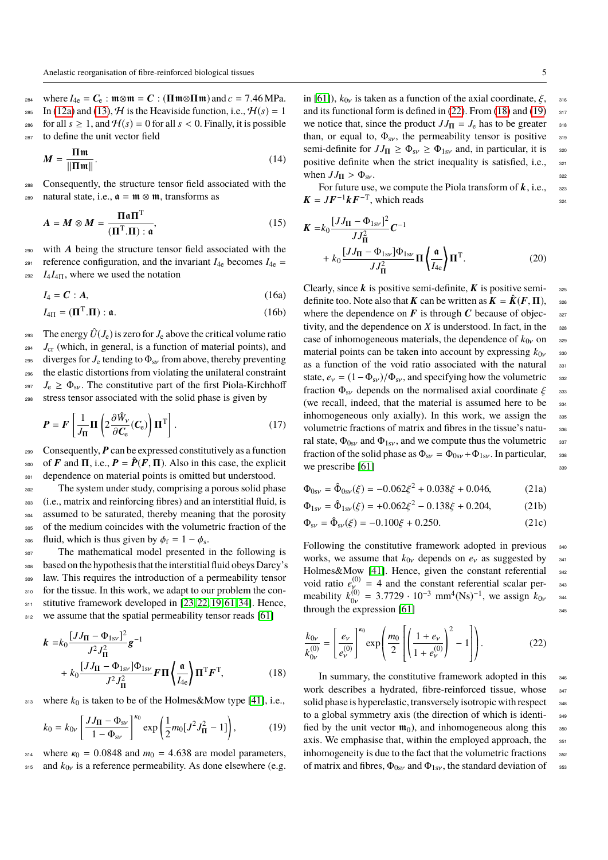where  $I_{4e} = C_e$ :  $\mathfrak{m} \otimes \mathfrak{m} = C$ : ( $\mathbf{\Pi} \mathfrak{m} \otimes \mathbf{\Pi} \mathfrak{m}$ ) and  $c = 7.46$  MPa.<br>285 In (12a) and (13). H is the Heaviside function, i.e.,  $H(s) = 1$ In (12a) and (13),  $H$  is the Heaviside function, i.e.,  $H(s) = 1$ 286 for all  $s \ge 1$ , and  $\mathcal{H}(s) = 0$  for all  $s < 0$ . Finally, it is possible  $\sum_{\text{287}}$  to define the unit vector field to define the unit vector field

$$
M = \frac{\Pi \mathfrak{m}}{\|\Pi \mathfrak{m}\|}.
$$
 (14)

<sup>288</sup> Consequently, the structure tensor field associated with the 289 natural state, i.e.,  $\mathfrak{a} = \mathfrak{m} \otimes \mathfrak{m}$ , transforms as

$$
A = M \otimes M = \frac{\Pi \mathfrak{a} \Pi^{\mathrm{T}}}{(\Pi^{\mathrm{T}}.\Pi) : \mathfrak{a}},\tag{15}
$$

<sup>290</sup> with A being the structure tensor field associated with the

reference configuration, and the invariant  $I_{4e}$  becomes  $I_{4e}$  =  $I_4I_{4\Pi}$ , where we used the notation

$$
444
$$

$$
I_4 = \mathbf{C} : \mathbf{A}, \tag{16a}
$$

$$
I_{4\Pi} = (\mathbf{\Pi}^{\mathrm{T}}.\mathbf{\Pi}) : \mathfrak{a}.
$$
 (16b)

293 The energy  $\hat{U}(J_e)$  is zero for  $J_e$  above the critical volume ratio <sup>294</sup> *J*<sub>cr</sub> (which, in general, is a function of material points), and 295 diverges for  $J_e$  tending to  $\Phi_{sv}$  from above, thereby preventing<br>296 the elastic distortions from violating the unilateral constraint the elastic distortions from violating the unilateral constraint <sup>297</sup>  $J_e \ge \Phi_{sv}$ . The constitutive part of the first Piola-Kirchhoff<br><sup>298</sup> stress tensor associated with the solid phase is given by stress tensor associated with the solid phase is given by

$$
P = F\left[\frac{1}{J_{\Pi}}\Pi\left(2\frac{\partial \hat{W}_{\nu}}{\partial C_{e}}(C_{e})\right)\Pi^{T}\right].
$$
 (17)

299 Consequently,  $P$  can be expressed constitutively as a function <sup>300</sup> of **F** and **Π**, i.e.,  $P = \hat{P}(F, \Pi)$ . Also in this case, the explicit dependence on material points is omitted but understood. dependence on material points is omitted but understood.

<sup>302</sup> The system under study, comprising a porous solid phase <sup>303</sup> (i.e., matrix and reinforcing fibres) and an interstitial fluid, is 304 assumed to be saturated, thereby meaning that the porosity <sup>305</sup> of the medium coincides with the volumetric fraction of the <sup>306</sup> fluid, which is thus given by  $\phi_f = 1 - \phi_s$ .<br>The mathematical model presented

307 The mathematical model presented in the following is <sup>308</sup> based on the hypothesis that the interstitial fluid obeys Darcy's <sup>309</sup> law. This requires the introduction of a permeability tensor 310 for the tissue. In this work, we adapt to our problem the con-311 stitutive framework developed in [23, 22, 19, 61, 34]. Hence, <sup>312</sup> we assume that the spatial permeability tensor reads [61]

$$
\mathbf{k} = k_0 \frac{[JJ_{\Pi} - \Phi_{1s\nu}]}{J^2 J_{\Pi}^2} \mathbf{g}^{-1} \n+ k_0 \frac{[JJ_{\Pi} - \Phi_{1s\nu}]\Phi_{1s\nu}}{J^2 J_{\Pi}^2} \mathbf{F} \Pi \left\{ \frac{\mathfrak{a}}{I_{4e}} \right\} \Pi^{\mathsf{T}} \mathbf{F}^{\mathsf{T}},
$$
\n(18)

313 where  $k_0$  is taken to be of the Holmes&Mow type [41], i.e.,

$$
k_0 = k_{0\nu} \left[ \frac{JJ_{\mathbf{II}} - \Phi_{\rm sv}}{1 - \Phi_{\rm sv}} \right]^{k_0} \exp\left( \frac{1}{2} m_0 [J^2 J_{\mathbf{II}}^2 - 1] \right),\tag{19}
$$

314 where  $\kappa_0 = 0.0848$  and  $m_0 = 4.638$  are model parameters,<br>315 and  $k_{0v}$  is a reference permeability. As done elsewhere (e.g. and  $k_{0v}$  is a reference permeability. As done elsewhere (e.g. in [61]),  $k_{0v}$  is taken as a function of the axial coordinate,  $\xi$ , <sup>316</sup>, 316<br>and its functional form is defined in (22). From (18) and (19) and its functional form is defined in  $(22)$ . From  $(18)$  and  $(19)$ we notice that, since the product  $JJ_{\text{II}} = J_e$  has to be greater 318 than, or equal to,  $\Phi_{sv}$ , the permeability tensor is positive  $\sin \theta_{sv}$  semi-definite for  $JJ_{\text{H}} > \Phi_{sv} > \Phi_{1sv}$  and, in particular, it is semi-definite for  $JJ_{\Pi} \ge \Phi_{sv} \ge \Phi_{1sv}$  and, in particular, it is positive definite when the strict inequality is satisfied, i.e., positive definite when the strict inequality is satisfied, i.e., when  $JJ_{\Pi} > \Phi_{sv}$ .<br>For future use, we compute the Piola transform of **k**, i.e., <sup>322</sup>

 $K = JF^{-1}kF^{-T}$ , which reads 324

$$
\mathbf{K} = k_0 \frac{[JJ_{\mathbf{\Pi}} - \Phi_{1sv}]^2}{JJ_{\mathbf{\Pi}}^2} \mathbf{C}^{-1} + k_0 \frac{[JJ_{\mathbf{\Pi}} - \Phi_{1sv}]\Phi_{1sv}}{JJ_{\mathbf{\Pi}}^2} \mathbf{\Pi} \left\{ \frac{\mathfrak{a}}{I_{4e}} \right\} \mathbf{\Pi}^{\mathrm{T}}.
$$
 (20)

Clearly, since  $k$  is positive semi-definite,  $K$  is positive semi-<br>325 definite too. Note also that **K** can be written as  $\mathbf{K} = \hat{\mathbf{K}}(\mathbf{F}, \mathbf{\Pi})$ , see<br>where the dependence on **F** is through **C** because of objecwhere the dependence on  $\vec{F}$  is through  $\vec{C}$  because of objectivity, and the dependence on  $X$  is understood. In fact, in the  $328$ case of inhomogeneous materials, the dependence of  $k_{0v}$  on  $\omega$  material points can be taken into account by expressing  $k_{0v}$ material points can be taken into account by expressing  $k_{0y}$  <sup>330</sup> as a function of the void ratio associated with the natural as a function of the void ratio associated with the natural state,  $e_v = (1 - \Phi_{sv})/\Phi_{sv}$ , and specifying how the volumetric  $\frac{332}{25}$ <br>fraction  $\Phi_{sv}$  depends on the normalised axial coordinate  $\mathcal{E}_{\text{ass}}$ fraction  $\Phi_{\text{sv}}$  depends on the normalised axial coordinate  $\xi$  333<br>(we recall, indeed, that the material is assumed here to be (we recall, indeed, that the material is assumed here to be inhomogeneous only axially). In this work, we assign the 335 volumetric fractions of matrix and fibres in the tissue's natu-<br>336 ral state,  $\Phi_{0sv}$  and  $\Phi_{1sv}$ , and we compute thus the volumetric fraction of the solid phase as  $\Phi_{sv} = \Phi_{0sv} + \Phi_{1sv}$ . In particular, fraction of the solid phase as  $\Phi_{sv} = \Phi_{0sv} + \Phi_{1sv}$ . In particular,  $\Phi_{sv}$  we prescribe [61] we prescribe  $[61]$ 

$$
\Phi_{0sv} = \hat{\Phi}_{0sv}(\xi) = -0.062\xi^2 + 0.038\xi + 0.046,\tag{21a}
$$

$$
\Phi_{1s\nu} = \hat{\Phi}_{1s\nu}(\xi) = +0.062\xi^2 - 0.138\xi + 0.204,\tag{21b}
$$

$$
\Phi_{\rm sv} = \hat{\Phi}_{\rm sv}(\xi) = -0.100\xi + 0.250. \tag{21c}
$$

Following the constitutive framework adopted in previous 340 works, we assume that  $k_{0\nu}$  depends on  $e_{\nu}$  as suggested by  $\frac{341}{342}$ <br>Holmes&Mow [41]. Hence, given the constant referential Holmes&Mow [41]. Hence, given the constant referential void ratio  $e_v^{(0)} = 4$  and the constant referential scalar per-<br>meability  $k_{0v}^{(0)} = 3.7729 \cdot 10^{-3}$  mm<sup>4</sup>(Ns)<sup>-1</sup>, we assign  $k_{0v}$  <sup>343</sup>  $\frac{0}{y}$  = 3.7729 · 10<sup>-3</sup> mm<sup>4</sup>(Ns)<sup>-1</sup>, we assign  $k_{0v}$  <sup>344</sup> expression [61] through the expression  $[61]$ <sup>345</sup>

$$
\frac{k_{0\nu}}{k_{0\nu}^{(0)}} = \left[\frac{e_{\nu}}{e_{\nu}^{(0)}}\right]^{k_0} \exp\left(\frac{m_0}{2}\left[\left(\frac{1+e_{\nu}}{1+e_{\nu}^{(0)}}\right)^2 - 1\right]\right).
$$
 (22)

In summary, the constitutive framework adopted in this 346 work describes a hydrated, fibre-reinforced tissue, whose 347 solid phase is hyperelastic, transversely isotropic with respect 348 to a global symmetry axis (the direction of which is identi- <sup>349</sup> fied by the unit vector  $\mathfrak{m}_0$ , and inhomogeneous along this  $\mathfrak{s}_5$ axis. We emphasise that, within the employed approach, the 351 inhomogeneity is due to the fact that the volumetric fractions  $352$ of matrix and fibres,  $\Phi_{0s\nu}$  and  $\Phi_{1s\nu}$ , the standard deviation of  $\Box$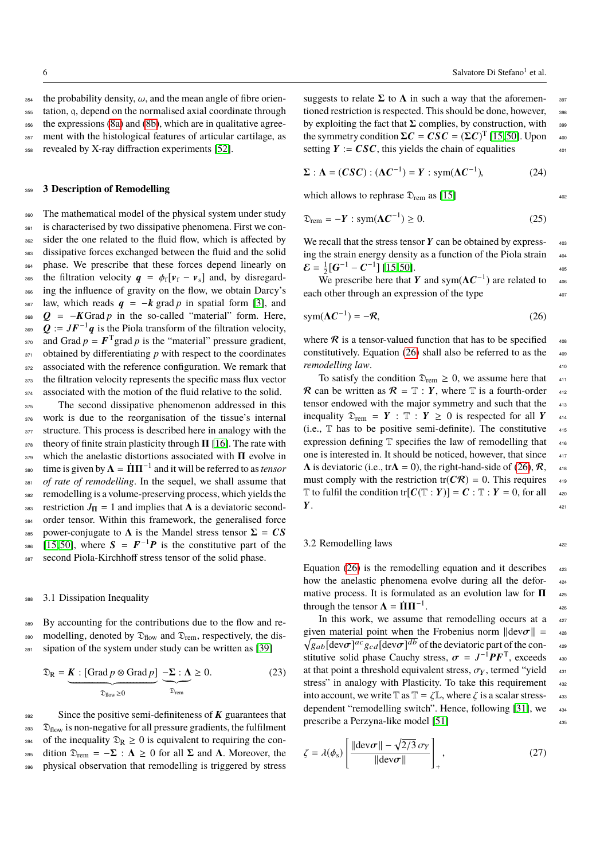354 the probability density,  $\omega$ , and the mean angle of fibre orien-<br>355 tation, a, depend on the normalised axial coordinate through tation, q, depend on the normalised axial coordinate through <sup>356</sup> the expressions (8a) and (8b), which are in qualitative agree-<sup>357</sup> ment with the histological features of articular cartilage, as <sup>358</sup> revealed by X-ray diffraction experiments [52].

## <sup>359</sup> **3 Description of Remodelling**

360 The mathematical model of the physical system under study <sup>361</sup> is characterised by two dissipative phenomena. First we con-362 sider the one related to the fluid flow, which is affected by <sup>363</sup> dissipative forces exchanged between the fluid and the solid <sup>364</sup> phase. We prescribe that these forces depend linearly on <sup>365</sup> the filtration velocity  $q = \phi_f[v_f - v_s]$  and, by disregard-<br><sup>366</sup> ing the influence of gravity on the flow, we obtain Darcy's ing the influence of gravity on the flow, we obtain Darcy's  $367$  law, which reads  $q = -k$  grad p in spatial form [3], and 368  $Q = -K$ Grad *p* in the so-called "material" form. Here, 369  $Q := JF^{-1}q$  is the Piola transform of the filtration velocity, <sup>370</sup> and Grad  $p = F<sup>T</sup>$  grad  $p$  is the "material" pressure gradient,  $371$  obtained by differentiating *p* with respect to the coordinates 372 associated with the reference configuration. We remark that 373 the filtration velocity represents the specific mass flux vector 374 associated with the motion of the fluid relative to the solid.

<sup>375</sup> The second dissipative phenomenon addressed in this <sup>376</sup> work is due to the reorganisation of the tissue's internal 377 structure. This process is described here in analogy with the  $378$  theory of finite strain plasticity through  $\Pi$  [16]. The rate with  $379$  which the anelastic distortions associated with  $\Pi$  evolve in <sup>380</sup> time is given by  $\Lambda = \dot{\Pi} \Pi^{-1}$  and it will be referred to as *tensor* <sup>381</sup> *of rate of remodelling*. In the sequel, we shall assume that <sup>382</sup> remodelling is a volume-preserving process, which yields the 383 restriction  $J_{\Pi} = 1$  and implies that  $\Lambda$  is a deviatoric second-384 order tensor. Within this framework, the generalised force 385 power-conjugate to  $\Lambda$  is the Mandel stress tensor  $\Sigma = CS$ 386 [15, 50], where  $S = F^{-1}P$  is the constitutive part of the <sup>387</sup> second Piola-Kirchhoff stress tensor of the solid phase.

## 3.1 Dissipation Inequality

<sup>389</sup> By accounting for the contributions due to the flow and re-390 modelling, denoted by  $\mathfrak{D}_{flow}$  and  $\mathfrak{D}_{rem}$ , respectively, the dis-391 sipation of the system under study can be written as [39]

$$
\mathfrak{D}_{\mathbb{R}} = \underbrace{\mathbf{K} : [\text{Grad } p \otimes \text{Grad } p]}_{\mathfrak{D}_{\text{flow}} \ge 0} \underbrace{-\Sigma : \Lambda}_{\mathfrak{D}_{\text{rem}}} \ge 0. \tag{23}
$$

 $392$  Since the positive semi-definiteness of K guarantees that  $\mathfrak{D}_{flow}$  is non-negative for all pressure gradients, the fulfilment 394 of the inequality  $\mathfrak{D}_R \geq 0$  is equivalent to requiring the con-395 dition  $\mathfrak{D}_{rem} = -\Sigma : \Lambda \geq 0$  for all  $\Sigma$  and  $\Lambda$ . Moreover, the <sup>396</sup> physical observation that remodelling is triggered by stress

suggests to relate  $\Sigma$  to  $\Lambda$  in such a way that the aforemen- 397 tioned restriction is respected. This should be done, however, 398 by exploiting the fact that  $\Sigma$  complies, by construction, with 399 the symmetry condition  $\Sigma C = CSC = (\Sigma C)^T [15, 50]$ . Upon  $_{400}$ setting  $Y := \mathbf{C} \mathbf{S} \mathbf{C}$ , this yields the chain of equalities  $401$ 

$$
\Sigma : \Lambda = (CSC) : (\Lambda C^{-1}) = Y : \text{sym}(\Lambda C^{-1}), \tag{24}
$$

which allows to rephrase  $\mathfrak{D}_{rem}$  as [15]  $\qquad \qquad \text{402}$ 

$$
\mathfrak{D}_{\text{rem}} = -Y : \text{sym}(\Lambda C^{-1}) \ge 0. \tag{25}
$$

We recall that the stress tensor  $Y$  can be obtained by expressing the strain energy density as a function of the Piola strain  $404$  $\mathcal{E} = \frac{1}{2} [\mathbf{G}^{-1} - \mathbf{C}^{-1}]$  [15,50].

We prescribe here that Y and sym( $\Lambda C^{-1}$ ) are related to  $\sim$  406 each other through an expression of the type  $407$ 

$$
sym(\Lambda \mathcal{C}^{-1}) = -\mathcal{R},\tag{26}
$$

where  $\Re$  is a tensor-valued function that has to be specified  $408$ constitutively. Equation (26) shall also be referred to as the  $409$ *remodelling law.*  $\frac{410}{40}$ 

To satisfy the condition  $\mathfrak{D}_{rem} \geq 0$ , we assume here that  $411$ R can be written as  $R = T : Y$ , where T is a fourth-order  $412$ tensor endowed with the major symmetry and such that the  $413$ inequality  $\mathfrak{D}_{rem} = Y : \mathbb{T} : Y \ge 0$  is respected for all Y 414 (i.e.,  $\mathbb T$  has to be positive semi-definite). The constitutive  $\mathbb{I}_{415}$ expression defining  $T$  specifies the law of remodelling that  $416$ one is interested in. It should be noticed, however, that since  $417$  $\Lambda$  is deviatoric (i.e., tr $\Lambda = 0$ ), the right-hand-side of (26),  $\mathcal{R}$ ,  $\phantom{1}$  418 must comply with the restriction tr( $\mathbb{C}\mathcal{R}$ ) = 0. This requires  $\frac{419}{419}$  $\mathbb T$  to fulfil the condition tr $[C(\mathbb T : Y)] = C : \mathbb T : Y = 0$ , for all  $\longrightarrow$  $Y$ .  $^{421}$ 

## 3.2 Remodelling laws

Equation (26) is the remodelling equation and it describes  $423$ how the anelastic phenomena evolve during all the deformative process. It is formulated as an evolution law for  $\Pi$  425 through the tensor  $\Lambda = \Pi \Pi^{-1}$ . . **426** 

In this work, we assume that remodelling occurs at a 427 given material point when the Frobenius norm  $\|\text{dev}\sigma\| =$ <br>  $\sqrt{a + \text{dev}\sigma^{abc}a + \text{dev}\sigma^{db}}$  of the deviatoric part of the con  $\sqrt{g_{ab}[\text{dev}\sigma]^{ac}g_{cd}[\text{dev}\sigma]^{db}}$  of the deviatoric part of the con-<br>stitutive solid phase Cauchy stress  $\sigma = I^{-1} \mathbf{P} \mathbf{F}^T$  exceeds stitutive solid phase Cauchy stress,  $\sigma = J^{-1}PF^{T}$ , exceeds 430<br>at that point a threshold equivalent stress,  $\sigma_{\text{tot}}$  termed "vield" at that point a threshold equivalent stress,  $\sigma_Y$ , termed "yield stress" in analogy with Plasticity. To take this requirement stress" in analogy with Plasticity. To take this requirement into account, we write T as  $T = \zeta L$ , where  $\zeta$  is a scalar stress-<br>dependent "remodelling switch". Hence, following [31], we dependent "remodelling switch". Hence, following [31], we prescribe a Perzyna-like model [51] 435

$$
\zeta = \lambda(\phi_{\rm s}) \left[ \frac{\| \text{dev}\sigma \| - \sqrt{2/3} \sigma_{\rm Y}}{\| \text{dev}\sigma \|} \right]_{+}, \qquad (27)
$$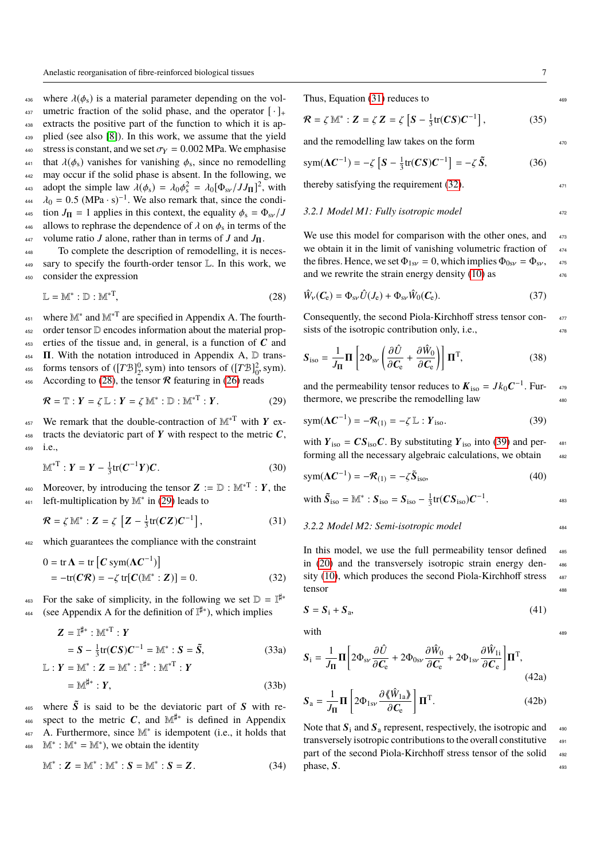436 where  $\lambda(\phi_s)$  is a material parameter depending on the vol-<br>437 umetric fraction of the solid phase, and the operator  $[\cdot]_+$ umetric fraction of the solid phase, and the operator  $[\cdot]_+$ <sup>438</sup> extracts the positive part of the function to which it is ap-<sup>439</sup> plied (see also [8]). In this work, we assume that the yield <sup>440</sup> stress is constant, and we set  $\sigma_Y = 0.002$  MPa. We emphasise<br><sup>441</sup> that  $\lambda(\phi_s)$  vanishes for vanishing  $\phi_s$ , since no remodelling that  $\lambda(\phi_s)$  vanishes for vanishing  $\phi_s$ , since no remodelling<br>the solid phase is absent In the following we <sup>442</sup> may occur if the solid phase is absent. In the following, we as adopt the simple law  $\lambda(\phi_s) = \lambda_0 \phi_s^2 = \lambda_0 [\Phi_{sv}/JJ_{\Pi}]^2$ , with  $\mu_s = 0.5$  (MP<sub>3</sub>, s)<sup>-1</sup>. We also remark that since the conditional  $\lambda_0 = 0.5 \text{ (MPa·s)}^{-1}$ . We also remark that, since the condi-<br>tion  $I_2 = 1$  applies in this context, the equality  $\phi_1 = \Phi_1/I$ 445 tion  $J_{\text{II}} = 1$  applies in this context, the equality  $\phi_s = \Phi_{s\nu}/J$ <br>446 allows to rephrase the dependence of  $\lambda$  on  $\phi_s$  in terms of the allows to rephrase the dependence of  $\lambda$  on  $\phi_s$  in terms of the use volume ratio Lalone rather than in terms of Land L <sup>447</sup> volume ratio *J* alone, rather than in terms of *J* and *J*Π.

<sup>448</sup> To complete the description of remodelling, it is neces-<sup>449</sup> sary to specify the fourth-order tensor L. In this work, we <sup>450</sup> consider the expression

$$
\mathbb{L} = \mathbb{M}^* : \mathbb{D} : \mathbb{M}^{*T},\tag{28}
$$

<sup>451</sup> where  $\mathbb{M}^*$  and  $\mathbb{M}^{*T}$  are specified in Appendix A. The fourth-<sup>452</sup> order tensor D encodes information about the material prop-453 erties of the tissue and, in general, is a function of  $C$  and  $454$  **Π**. With the notation introduced in Appendix A,  $\mathbb{D}$  transforms tensors of  $([TB]_2^0, \text{sym})$  into tensors of  $([TB]_0^2, \text{sym})$ . 456 According to (28), the tensor  $\mathcal R$  featuring in (26) reads

$$
\mathcal{R} = \mathbb{T} : Y = \zeta \mathbb{L} : Y = \zeta \mathbb{M}^* : \mathbb{D} : \mathbb{M}^{*T} : Y.
$$
 (29)

457 We remark that the double-contraction of  $\mathbb{M}^{*T}$  with Y ex-458 tracts the deviatoric part of Y with respect to the metric  $C$ , <sup>459</sup> i.e.,

$$
\mathbb{M}^{*T}: Y = Y - \frac{1}{3} \text{tr}(C^{-1}Y)C. \tag{30}
$$

460 Moreover, by introducing the tensor  $Z := D : M^{*T} : Y$ , the left-multiplication by M<sup>∗</sup> <sup>461</sup> in (29) leads to

$$
\mathcal{R} = \zeta \,\mathbb{M}^* : \mathbf{Z} = \zeta \left[ \mathbf{Z} - \frac{1}{3} \text{tr}(\mathbf{CZ}) \mathbf{C}^{-1} \right],\tag{31}
$$

<sup>462</sup> which guarantees the compliance with the constraint

$$
0 = \text{tr}\,\mathbf{\Lambda} = \text{tr}\left[\mathbf{C}\,\text{sym}(\mathbf{\Lambda}\mathbf{C}^{-1})\right]
$$
  
=  $-\text{tr}(\mathbf{C}\mathbf{\mathcal{R}}) = -\zeta\,\text{tr}[\mathbf{C}(\mathbb{M}^* : \mathbf{Z})] = 0.$  (32)

For the sake of simplicity, in the following we set  $\mathbb{D} = \mathbb{I}^{\sharp*}$ 463 <sup>464</sup> (see Appendix A for the definition of  $\mathbb{I}^{\sharp *}$ ), which implies

$$
Z = I^{\sharp*} : M^{*T} : Y
$$
  
=  $S - \frac{1}{3} \text{tr}(CS) C^{-1} = M^* : S = \tilde{S},$  (33a)

$$
\mathbb{L}: \mathbf{Y} = \mathbb{M}^* : \mathbf{Z} = \mathbb{M}^* : \mathbb{I}^{\sharp*} : \mathbb{M}^{*T} : \mathbf{Y}
$$

$$
= \mathbb{M}^{\sharp*} : \mathbf{Y}, \tag{33b}
$$

 $465$  where  $\tilde{S}$  is said to be the deviatoric part of S with re-<sub>466</sub> spect to the metric C, and  $\mathbb{M}^{\sharp*}$  is defined in Appendix A. Furthermore, since M<sup>∗</sup> <sup>467</sup> is idempotent (i.e., it holds that  $468 \text{ M}^* : \mathbb{M}^* = \mathbb{M}^*$ , we obtain the identity

$$
\mathbb{M}^*: \mathbf{Z} = \mathbb{M}^* : \mathbb{M}^* : \mathbf{S} = \mathbb{M}^* : \mathbf{S} = \mathbf{Z}.
$$
 (34)

$$
\mathcal{R} = \zeta \,\mathbb{M}^* : \mathbf{Z} = \zeta \,\mathbf{Z} = \zeta \left[ S - \frac{1}{3} \text{tr}(\mathbf{C} S) \mathbf{C}^{-1} \right],\tag{35}
$$

and the remodelling law takes on the form  $470$ 

$$
\text{sym}(\Lambda C^{-1}) = -\zeta \left[ S - \frac{1}{3} \text{tr}(CS) C^{-1} \right] = -\zeta \tilde{S},\tag{36}
$$

thereby satisfying the requirement  $(32)$ .

## *3.2.1 Model M1: Fully isotropic model* <sup>472</sup>

We use this model for comparison with the other ones, and  $473$ we obtain it in the limit of vanishing volumetric fraction of  $474$ the fibres. Hence, we set  $\Phi_{1sv} = 0$ , which implies  $\Phi_{0sv} = \Phi_{sv}$ , 475<br>and we rewrite the strain energy density (10) as and we rewrite the strain energy density  $(10)$  as

$$
\hat{W}_{\nu}(C_{e}) = \Phi_{\rm sv}\hat{U}(J_{e}) + \Phi_{\rm sv}\hat{W}_{0}(C_{e}).
$$
\n(37)

Consequently, the second Piola-Kirchhoff stress tensor con- <sup>477</sup> sists of the isotropic contribution only, i.e.,  $478$ 

$$
\mathbf{S}_{\text{iso}} = \frac{1}{J_{\mathbf{\Pi}}} \mathbf{\Pi} \left[ 2 \Phi_{\text{sv}} \left( \frac{\partial \hat{U}}{\partial \mathbf{C}_{\text{e}}} + \frac{\partial \hat{W}_{0}}{\partial \mathbf{C}_{\text{e}}} \right) \right] \mathbf{\Pi}^{\text{T}}, \tag{38}
$$

and the permeability tensor reduces to  $K_{\text{iso}} = Jk_0 C^{-1}$ . Furthermore, we prescribe the remodelling law  $480$ 

$$
sym(\Lambda \mathcal{C}^{-1}) = -\mathcal{R}_{(1)} = -\zeta \mathbb{L} : Y_{\text{iso}}.
$$
 (39)

with  $Y_{\text{iso}} = CS_{\text{iso}}C$ . By substituting  $Y_{\text{iso}}$  into (39) and performing all the necessary algebraic calculations, we obtain  $482$ 

$$
sym(\Lambda \mathbf{C}^{-1}) = -\mathcal{R}_{(1)} = -\zeta \tilde{\mathbf{S}}_{\text{iso}},
$$
\n(40)

with 
$$
\tilde{S}_{\text{iso}} = \mathbb{M}^* : S_{\text{iso}} = S_{\text{iso}} - \frac{1}{3} \text{tr}(CS_{\text{iso}})C^{-1}.
$$

#### *3.2.2 Model M2: Semi-isotropic model* <sup>484</sup>

In this model, we use the full permeability tensor defined 485 in  $(20)$  and the transversely isotropic strain energy density  $(10)$ , which produces the second Piola-Kirchhoff stress  $487$ tensor assessment and the set of the set of the set of the set of the set of the set of the set of the set of the set of the set of the set of the set of the set of the set of the set of the set of the set of the set of th

$$
S = S_i + S_a,\tag{41}
$$

 $with$   $489$ 

$$
S_{\rm i} = \frac{1}{J_{\rm II}} \Pi \left[ 2\Phi_{\rm sv} \frac{\partial \hat{U}}{\partial \mathbf{C}_{\rm e}} + 2\Phi_{\rm 0sv} \frac{\partial \hat{W}_{\rm 0}}{\partial \mathbf{C}_{\rm e}} + 2\Phi_{\rm 1sv} \frac{\partial \hat{W}_{\rm 1i}}{\partial \mathbf{C}_{\rm e}} \right] \Pi^{\rm T},\tag{42a}
$$

$$
\mathbf{S}_{\rm a} = \frac{1}{J_{\rm II}} \mathbf{\Pi} \left[ 2\Phi_{\rm 1s\nu} \frac{\partial \langle \hat{W}_{\rm 1a} \rangle}{\partial C_{\rm e}} \right] \mathbf{\Pi}^{\rm T}.
$$
 (42b)

Note that  $S_i$  and  $S_a$  represent, respectively, the isotropic and  $\frac{490}{490}$ transversely isotropic contributions to the overall constitutive  $491$ part of the second Piola-Kirchhoff stress tensor of the solid 492  $phase, S.$ <sup>493</sup>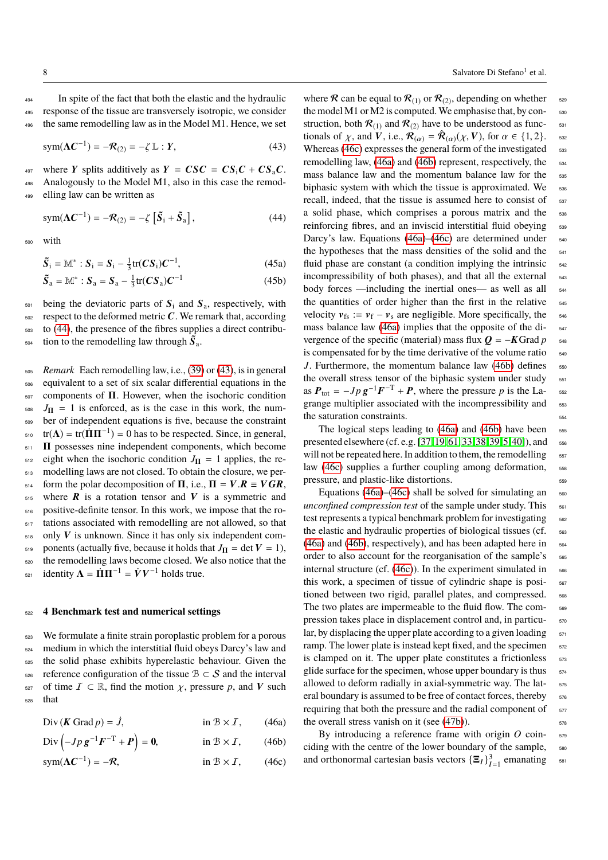<sup>494</sup> In spite of the fact that both the elastic and the hydraulic <sup>495</sup> response of the tissue are transversely isotropic, we consider <sup>496</sup> the same remodelling law as in the Model M1. Hence, we set

$$
sym(\Lambda \mathcal{C}^{-1}) = -\mathcal{R}_{(2)} = -\zeta \mathbb{L} : Y,
$$
\n(43)

497 where Y splits additively as  $Y = CSC = CS_iC + CS_aC$ . <sup>498</sup> Analogously to the Model M1, also in this case the remod-<sup>499</sup> elling law can be written as

 $sym(\Lambda \mathbf{C}^{-1}) = -\mathcal{R}_{(2)} = -\zeta \left[ \tilde{S}_1 + \tilde{S}_2 \right]$  $,$  (44)

<sup>500</sup> with

$$
\widetilde{S}_i = \mathbb{M}^* : S_i = S_i - \frac{1}{3} \text{tr}(CS_i) C^{-1}, \tag{45a}
$$

$$
\tilde{S}_a = \mathbb{M}^* : S_a = S_a - \frac{1}{3} \text{tr}(CS_a) C^{-1}
$$
 (45b)

 $_{501}$  being the deviatoric parts of  $S_i$  and  $S_a$ , respectively, with  $502$  respect to the deformed metric C. We remark that, according <sup>503</sup> to (44), the presence of the fibres supplies a direct contribu- $\mathfrak{so}_4$  tion to the remodelling law through  $\mathbf{S}_a$ .

<sup>505</sup> *Remark* Each remodelling law, i.e., (39) or (43), is in general <sup>506</sup> equivalent to a set of six scalar differential equations in the <sup>507</sup> components of Π. However, when the isochoric condition  $J_{\Pi} = 1$  is enforced, as is the case in this work, the num-<sup>509</sup> ber of independent equations is five, because the constraint  $_{510}$  tr( $\Lambda$ ) = tr( $\dot{\Pi}\Pi^{-1}$ ) = 0 has to be respected. Since, in general, <sup>511</sup> Π possesses nine independent components, which become  $_{512}$  eight when the isochoric condition  $J_{\Pi} = 1$  applies, the re-<sup>513</sup> modelling laws are not closed. To obtain the closure, we per-514 form the polar decomposition of  $\Pi$ , i.e.,  $\Pi = V \cdot \mathbf{R} \equiv V \mathbf{G} \mathbf{R}$ ,<br>515 where  $\mathbf{R}$  is a rotation tensor and V is a symmetric and where  $\bf{R}$  is a rotation tensor and  $\bf{V}$  is a symmetric and <sup>516</sup> positive-definite tensor. In this work, we impose that the ro-<sup>517</sup> tations associated with remodelling are not allowed, so that  $_{518}$  only V is unknown. Since it has only six independent com-<sup>519</sup> ponents (actually five, because it holds that  $J_{\Pi} = \det V = 1$ ), <sup>520</sup> the remodelling laws become closed. We also notice that the <sup>521</sup> identity  $\Lambda = \dot{\Pi} \Pi^{-1} = \dot{V} V^{-1}$  holds true.

#### <sup>522</sup> **4 Benchmark test and numerical settings**

<sup>523</sup> We formulate a finite strain poroplastic problem for a porous <sup>524</sup> medium in which the interstitial fluid obeys Darcy's law and <sup>525</sup> the solid phase exhibits hyperelastic behaviour. Given the 526 reference configuration of the tissue  $\mathcal{B} \subset \mathcal{S}$  and the interval 527 of time  $\mathcal{I} \subset \mathbb{R}$ , find the motion  $\chi$ , pressure *p*, and **V** such that that

 $Div(K \text{ Grad } p) = \dot{J}$ , in  $B \times I$ , (46a)

$$
\text{Div}\left(-Jp\,\mathbf{g}^{-1}\mathbf{F}^{-T}+\mathbf{P}\right)=\mathbf{0},\qquad\qquad\text{in }\mathcal{B}\times\mathcal{I},\qquad(46b)
$$

$$
sym(\Lambda \mathcal{C}^{-1}) = -\mathcal{R}, \qquad \text{in } \mathcal{B} \times \mathcal{I}, \qquad (46c)
$$

where  $\mathcal R$  can be equal to  $\mathcal R_{(1)}$  or  $\mathcal R_{(2)}$ , depending on whether set the model M1 or M2 is computed. We emphasise that, by con- $\frac{530}{2}$ struction, both  $\mathcal{R}_{(1)}$  and  $\mathcal{R}_{(2)}$  have to be understood as functionals of  $\chi$ , and  $\overline{V}$ , i.e.,  $\overline{\mathcal{R}}_{(\alpha)} = \hat{\mathcal{R}}_{(\alpha)}(\chi, V)$ , for  $\alpha \in \{1, 2\}$ .<br>Whereas (460) expresses the general form of the investigated Whereas  $(46c)$  expresses the general form of the investigated  $533$ remodelling law, (46a) and (46b) represent, respectively, the  $\frac{1}{534}$ mass balance law and the momentum balance law for the 535 biphasic system with which the tissue is approximated. We 536 recall, indeed, that the tissue is assumed here to consist of 537 a solid phase, which comprises a porous matrix and the 538 reinforcing fibres, and an inviscid interstitial fluid obeying 539 Darcy's law. Equations (46a)–(46c) are determined under  $_{540}$ the hypotheses that the mass densities of the solid and the 541 fluid phase are constant (a condition implying the intrinsic  $_{542}$ incompressibility of both phases), and that all the external 543 body forces —including the inertial ones— as well as all  $_{544}$ the quantities of order higher than the first in the relative 545 velocity  $v_{fs} := v_f - v_s$  are negligible. More specifically, the  $546$ mass balance law (46a) implies that the opposite of the di-<br><sub>547</sub> vergence of the specific (material) mass flux  $Q = -K$ Grad  $p_{\text{548}}$ is compensated for by the time derivative of the volume ratio  $_{549}$ *J*. Furthermore, the momentum balance law (46b) defines  $_{550}$ the overall stress tensor of the biphasic system under study 551 as  $P_{\text{tot}} = -Jp g^{-1}F^{-T} + P$ , where the pressure *p* is the La- 552 grange multiplier associated with the incompressibility and  $_{553}$ the saturation constraints.  $554$ 

The logical steps leading to  $(46a)$  and  $(46b)$  have been  $555$ presented elsewhere (cf. e.g. [37, 19, 61, 33, 38, 39, 5, 40]), and  $\frac{1}{556}$ will not be repeated here. In addition to them, the remodelling  $557$ law (46c) supplies a further coupling among deformation,  $\frac{558}{200}$ pressure, and plastic-like distortions.

Equations (46a)–(46c) shall be solved for simulating an  $_{560}$ *unconfined compression test* of the sample under study. This  $561$ test represents a typical benchmark problem for investigating  $562$ the elastic and hydraulic properties of biological tissues (cf. 563 (46a) and (46b), respectively), and has been adapted here in  $564$ order to also account for the reorganisation of the sample's <sup>565</sup> internal structure (cf.  $(46c)$ ). In the experiment simulated in  $_{566}$ this work, a specimen of tissue of cylindric shape is positioned between two rigid, parallel plates, and compressed. 568 The two plates are impermeable to the fluid flow. The compression takes place in displacement control and, in particu- <sup>570</sup> lar, by displacing the upper plate according to a given loading  $571$ ramp. The lower plate is instead kept fixed, and the specimen  $572$ is clamped on it. The upper plate constitutes a frictionless  $573$ glide surface for the specimen, whose upper boundary is thus  $574$ allowed to deform radially in axial-symmetric way. The lateral boundary is assumed to be free of contact forces, thereby  $576$ requiring that both the pressure and the radial component of  $577$ the overall stress vanish on it (see  $(47b)$ ).  $578$ 

By introducing a reference frame with origin *O* coinciding with the centre of the lower boundary of the sample,  $\frac{1}{580}$ and orthonormal cartesian basis vectors  ${\{\Xi_I\}}_{I=1}^3$  emanating s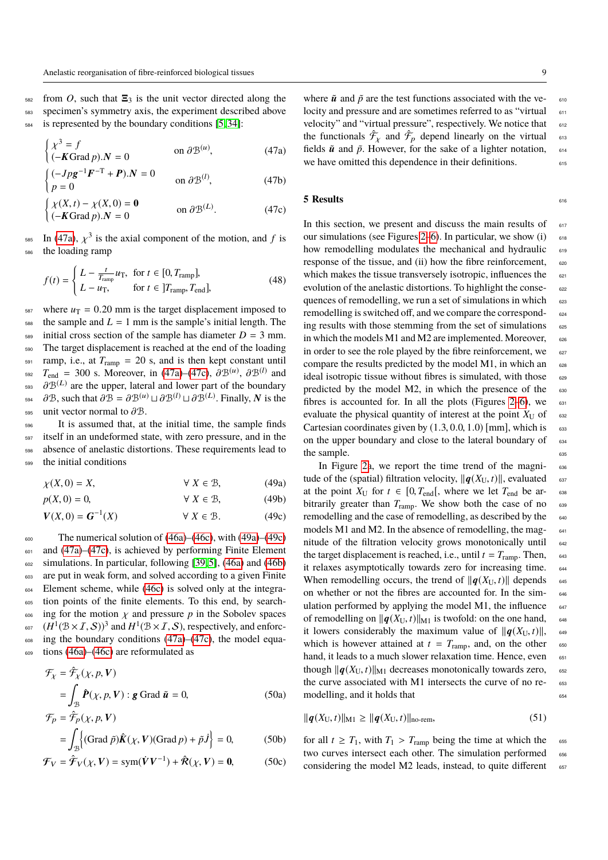$582$  from *O*, such that  $\Xi_3$  is the unit vector directed along the <sup>583</sup> specimen's symmetry axis, the experiment described above <sup>584</sup> is represented by the boundary conditions [5, 34]:

$$
\begin{cases}\n\chi^3 = f \\
(-K\operatorname{Grad} p).N = 0\n\end{cases} \n\text{ on } \partial \mathcal{B}^{(u)},\n\tag{47a}
$$

$$
\begin{cases}\n(-Jpg^{-1}\mathbf{F}^{-T} + \mathbf{P}).N = 0 & \text{on } \partial \mathcal{B}^{(l)},\n\end{cases}
$$
\n(47b)

$$
\begin{cases}\n\chi(X,t) - \chi(X,0) = \mathbf{0} \\
(-K\operatorname{Grad} p).N = 0\n\end{cases} \text{ on } \partial \mathcal{B}^{(L)}.
$$
\n(47c)

 $\lim_{x \to 585}$  In (47a),  $\chi^3$  is the axial component of the motion, and *f* is the loading ramp

$$
f(t) = \begin{cases} L - \frac{t}{T_{\text{ramp}}} u_{\text{T}}, & \text{for } t \in [0, T_{\text{ramp}}],\\ L - u_{\text{T}}, & \text{for } t \in [T_{\text{ramp}}, T_{\text{end}}], \end{cases}
$$
(48)

<sup>587</sup> where  $u_T = 0.20$  mm is the target displacement imposed to the sample and  $L = 1$  mm is the sample's initial length. The the sample and  $L = 1$  mm is the sample's initial length. The  $_{589}$  initial cross section of the sample has diameter  $D = 3$  mm. <sup>590</sup> The target displacement is reached at the end of the loading  $_{591}$  ramp, i.e., at  $T_{ramp} = 20$  s, and is then kept constant until <sup>592</sup>  $T_{\text{end}} = 300$  s. Moreover, in (47a)–(47c),  $\partial \mathcal{B}^{(u)}$ ,  $\partial \mathcal{B}^{(l)}$  and  $\partial \mathcal{B}^{(L)}$  are the upper lateral and lower part of the boundary <sup>593</sup>  $\partial \mathcal{B}^{(L)}$  are the upper, lateral and lower part of the boundary<br>593 are the upper, lateral and lower part of the boundary <sup>594</sup> ∂B, such that  $\partial \mathcal{B} = \partial \mathcal{B}^{(u)} \sqcup \partial \mathcal{B}^{(l)} \sqcup \partial \mathcal{B}^{(L)}$ . Finally, N is the 595 unit vector normal to  $\partial \mathcal{B}$ .<br>596 It is assumed that, at

It is assumed that, at the initial time, the sample finds itself in an undeformed state, with zero pressure, and in the absence of anelastic distortions. These requirements lead to the initial conditions

$$
\chi(X,0) = X, \qquad \forall X \in \mathcal{B}, \tag{49a}
$$

$$
p(X,0) = 0, \qquad \forall X \in \mathcal{B}, \qquad (49b)
$$

$$
V(X,0) = G^{-1}(X) \qquad \forall X \in \mathcal{B}.\tag{49c}
$$

 $\epsilon_{000}$  The numerical solution of (46a)–(46c), with (49a)–(49c)  $601$  and  $(47a)$ – $(47c)$ , is achieved by performing Finite Element <sup>602</sup> simulations. In particular, following [39, 5], (46a) and (46b) <sup>603</sup> are put in weak form, and solved according to a given Finite <sup>604</sup> Element scheme, while (46c) is solved only at the integra-<sup>605</sup> tion points of the finite elements. To this end, by search-<sup>606</sup> ing for the motion  $\chi$  and pressure *p* in the Sobolev spaces<br><sup>607</sup>  $(H^1(\mathcal{B} \times I, S))^3$  and  $H^1(\mathcal{B} \times I, S)$ , respectively, and enforc-<sup>607</sup>  $(H^1(\mathcal{B} \times I, S))^3$  and  $H^1(\mathcal{B} \times I, S)$ , respectively, and enforc-<br>in the boundary conditions (47a) (47c), the model equal  $\epsilon_{008}$  ing the boundary conditions (47a)–(47c), the model equa-<sup>609</sup> tions (46a)–(46c) are reformulated as

$$
\mathcal{F}_{\chi} = \hat{\mathcal{F}}_{\chi}(\chi, p, \mathbf{V})
$$

$$
= \int_{\mathcal{B}} \hat{\mathbf{P}}(\chi, p, \mathbf{V}) : \mathbf{g} \text{ Grad } \tilde{\mathbf{u}} = 0,
$$
 (50a)

$$
\mathcal{F}_p = \hat{\mathcal{F}}_p(\chi, p, \mathbf{V})
$$
  
=  $\int_{\mathcal{B}} \left\{ (\text{Grad } \tilde{p}) \hat{\mathbf{K}}(\chi, \mathbf{V}) (\text{Grad } p) + \tilde{p} \hat{\mathbf{J}} \right\} = 0,$  (50b)

$$
\mathcal{F}_V = \hat{\mathcal{F}}_V(\chi, V) = \text{sym}(\dot{V}V^{-1}) + \hat{\mathcal{R}}(\chi, V) = \mathbf{0},\tag{50c}
$$

where  $\tilde{u}$  and  $\tilde{p}$  are the test functions associated with the velocity and pressure and are sometimes referred to as "virtual 611 velocity" and "virtual pressure", respectively. We notice that 612 the functionals  $\hat{\mathcal{T}}_{\chi}$  and  $\hat{\mathcal{T}}_{p}$  depend linearly on the virtual 613 fields  $\tilde{u}$  and  $\tilde{p}$ . However, for the sake of a lighter notation,  $614$ we have omitted this dependence in their definitions.  $615$ 

#### **5 Results** 616

In this section, we present and discuss the main results of  $617$ our simulations (see Figures 2–6). In particular, we show  $(i)$  618 how remodelling modulates the mechanical and hydraulic 619 response of the tissue, and (ii) how the fibre reinforcement,  $\epsilon_{20}$ which makes the tissue transversely isotropic, influences the  $_{621}$ evolution of the anelastic distortions. To highlight the consequences of remodelling, we run a set of simulations in which  $\epsilon_{23}$ remodelling is switched off, and we compare the correspond- <sup>624</sup> ing results with those stemming from the set of simulations  $625$ in which the models M1 and M2 are implemented. Moreover,  $626$ in order to see the role played by the fibre reinforcement, we  $627$ compare the results predicted by the model M1, in which an  $628$ ideal isotropic tissue without fibres is simulated, with those  $\frac{629}{629}$ predicted by the model  $M2$ , in which the presence of the  $630$ fibres is accounted for. In all the plots (Figures 2–6), we  $\epsilon_{0.31}$ evaluate the physical quantity of interest at the point  $X_U$  of  $\sim$  632 Cartesian coordinates given by  $(1.3, 0.0, 1.0)$  [mm], which is on the upper boundary and close to the lateral boundary of  $\frac{634}{634}$ on the upper boundary and close to the lateral boundary of the sample.  $635$ 

In Figure 2a, we report the time trend of the magni- <sup>636</sup> tude of the (spatial) filtration velocity,  $||\boldsymbol{q}(X_U, t)||$ , evaluated as at the point  $X_U$  for  $t \in [0, T_{end}]$ , where we let  $T_{end}$  be arraceless at the point  $X_U$  for  $t \in [0, T_{\text{end}}]$ , where we let  $T_{\text{end}}$  be ar-<br>bitrarily greater than  $T_{\text{ramp}}$ . We show both the case of no bitrarily greater than  $T_{\text{ramp}}$ . We show both the case of no remodelling and the case of remodelling, as described by the 640 models M1 and M2. In the absence of remodelling, the mag- 641 nitude of the filtration velocity grows monotonically until 642 the target displacement is reached, i.e., until  $t = T_{\text{ramp}}$ . Then, 643 it relaxes asymptotically towards zero for increasing time. 644 When remodelling occurs, the trend of  $||\boldsymbol{q}(X_U, t)||$  depends on whether or not the fibres are accounted for. In the simon whether or not the fibres are accounted for. In the simulation performed by applying the model M1, the influence  $647$ of remodelling on  $\|q(X_U, t)\|_{\text{M1}}$  is twofold: on the one hand, 648<br>it lowers considerably the maximum value of  $\|q(X_U, t)\|$ it lowers considerably the maximum value of  $||\boldsymbol{q}(X_U, t)||$ , 649<br>which is however attained at  $t = T_{\text{ramp.}}$  and, on the other which is however attained at  $t = T_{\text{ramp}}$ , and, on the other hand, it leads to a much slower relaxation time. Hence, even 651 though  $\|\mathbf{q}(X_U, t)\|_{\text{M1}}$  decreases monotonically towards zero,  $\theta$  associated with M1 intersects the curve of no rethe curve associated with  $M1$  intersects the curve of no remodelling, and it holds that 654

$$
\|q(X_{\text{U}},t)\|_{\text{M1}} \ge \|q\|q(X_{\text{U}},t)\|_{\text{no-rem}},\tag{51}
$$

for all  $t \geq T_1$ , with  $T_1 > T_{\text{ramp}}$  being the time at which the two curves intersect each other. The simulation performed two curves intersect each other. The simulation performed considering the model M2 leads, instead, to quite different  $657$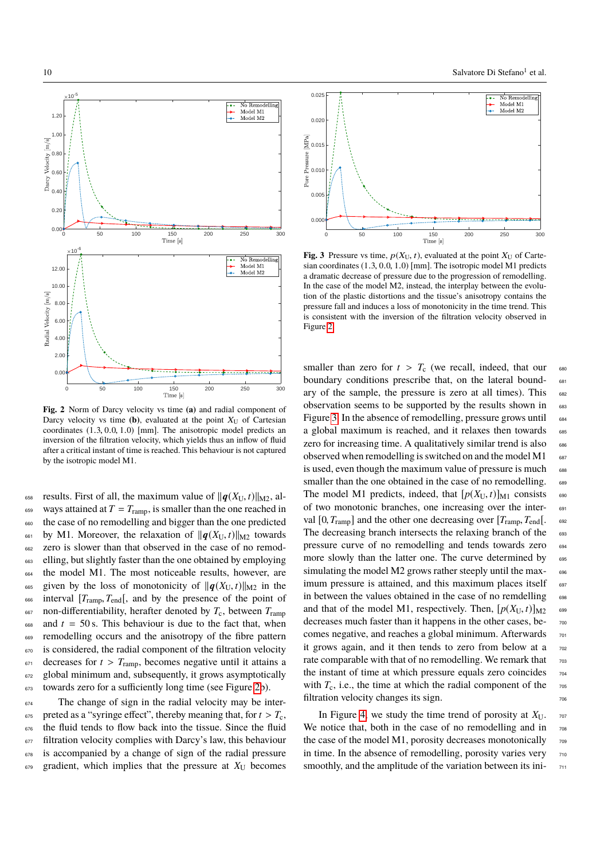1.20

0.00  $0.20$  $0.40$  $0.60 - i/$  $0.80 \vdash i$  $1.00 +$ 

Darcy

 $0.0$ 2.00 4.00 6.00 8.00 10.00 12.0

Radial Velocity  $\left[\text{m/s}\right]$ 



**Fig. 2** Norm of Darcy velocity vs time **(a)** and radial component of Darcy velocity vs time  $(b)$ , evaluated at the point  $X_U$  of Cartesian coordinates (1.3, <sup>0</sup>.0, <sup>1</sup>.0) [mm]. The anisotropic model predicts an inversion of the filtration velocity, which yields thus an inflow of fluid after a critical instant of time is reached. This behaviour is not captured by the isotropic model M1.

0 50 100 150 200 250 300

658 results. First of all, the maximum value of  $||\boldsymbol{q}(X_U, t)||_{M2}$ , al-<br>659 ways attained at  $T = T_{\text{ramm}}$ , is smaller than the one reached in ways attained at  $T = T_{ramp}$ , is smaller than the one reached in <sup>660</sup> the case of no remodelling and bigger than the one predicted <sup>661</sup> by M1. Moreover, the relaxation of  $||\boldsymbol{q}(X_U, t)||_{M2}$  towards<br><sup>662</sup> zero is slower than that observed in the case of no remodzero is slower than that observed in the case of no remod-<sup>663</sup> elling, but slightly faster than the one obtained by employing <sup>664</sup> the model M1. The most noticeable results, however, are <sup>665</sup> given by the loss of monotonicity of  $\|\boldsymbol{q}(X_U, t)\|_{M2}$  in the interval  $[T_{\text{rann}}, T_{\text{end}}]$ , and by the presence of the point of <sup>666</sup> interval  $[T<sub>ramp</sub>, T<sub>end</sub>$ [, and by the presence of the point of  $T<sub>c</sub>$ , hetween  $T<sub>cramp</sub>$  non-differentiability, herafter denoted by  $T<sub>c</sub>$ , between  $T<sub>cramp</sub>$ non-differentiability, herafter denoted by  $T_c$ , between  $T_{\text{ramp}}$  $668$  and  $t = 50$  s. This behaviour is due to the fact that, when <sup>669</sup> remodelling occurs and the anisotropy of the fibre pattern <sup>670</sup> is considered, the radial component of the filtration velocity <sup>671</sup> decreases for  $t > T_{\text{ramp}}$ , becomes negative until it attains a<br><sup>672</sup> global minimum and, subsequently, it grows asymptotically global minimum and, subsequently, it grows asymptotically <sup>673</sup> towards zero for a sufficiently long time (see Figure 2b).

<sup>674</sup> The change of sign in the radial velocity may be inter-For preted as a "syringe effect", thereby meaning that, for  $t > T_c$ ,<br>the fluid tends to flow back into the tissue. Since the fluid the fluid tends to flow back into the tissue. Since the fluid 677 filtration velocity complies with Darcy's law, this behaviour <sup>678</sup> is accompanied by a change of sign of the radial pressure  $679$  gradient, which implies that the pressure at  $X_{\text{U}}$  becomes



0 50 100 150 200 250 300

**Fig. 3** Pressure vs time,  $p(X_U, t)$ , evaluated at the point  $X_U$  of Cartesian coordinates (1.3, <sup>0</sup>.0, <sup>1</sup>.0) [mm]. The isotropic model M1 predicts a dramatic decrease of pressure due to the progression of remodelling. In the case of the model M2, instead, the interplay between the evolution of the plastic distortions and the tissue's anisotropy contains the pressure fall and induces a loss of monotonicity in the time trend. This is consistent with the inversion of the filtration velocity observed in Figure 2.

smaller than zero for  $t > T_c$  (we recall, indeed, that our 680 boundary conditions prescribe that, on the lateral boundboundary conditions prescribe that, on the lateral boundary of the sample, the pressure is zero at all times). This  $682$ observation seems to be supported by the results shown in 683 Figure 3. In the absence of remodelling, pressure grows until  $\epsilon_{\text{884}}$ a global maximum is reached, and it relaxes then towards 685 zero for increasing time. A qualitatively similar trend is also 686 observed when remodelling is switched on and the model  $M1$  687 is used, even though the maximum value of pressure is much 688 smaller than the one obtained in the case of no remodelling. <sup>689</sup> The model M1 predicts, indeed, that  $[p(X_U, t)]_{M1}$  consists 690<br>of two monotonic branches, one increasing over the interof two monotonic branches, one increasing over the interval  $[0, T_{ramp}]$  and the other one decreasing over  $[T_{ramp}, T_{end}]$ .<br>The decreasing branch intersects the relaxing branch of the The decreasing branch intersects the relaxing branch of the pressure curve of no remodelling and tends towards zero 694 more slowly than the latter one. The curve determined by 695 simulating the model M2 grows rather steeply until the max- 696 imum pressure is attained, and this maximum places itself 697 in between the values obtained in the case of no remdelling 698 and that of the model M1, respectively. Then,  $[p(X_U, t)]_{M2}$  699<br>decreases much faster than it happens in the other cases, bedecreases much faster than it happens in the other cases, becomes negative, and reaches a global minimum. Afterwards  $701$ it grows again, and it then tends to zero from below at a  $702$ rate comparable with that of no remodelling. We remark that  $703$ the instant of time at which pressure equals zero coincides  $704$ with  $T_c$ , i.e., the time at which the radial component of the  $\tau_{.05}$ filtration velocity changes its sign.

In Figure 4, we study the time trend of porosity at  $X_{U}$ . 707 We notice that, both in the case of no remodelling and in  $\pi$ the case of the model M1, porosity decreases monotonically  $\frac{709}{209}$ in time. In the absence of remodelling, porosity varies very  $_{710}$ smoothly, and the amplitude of the variation between its ini-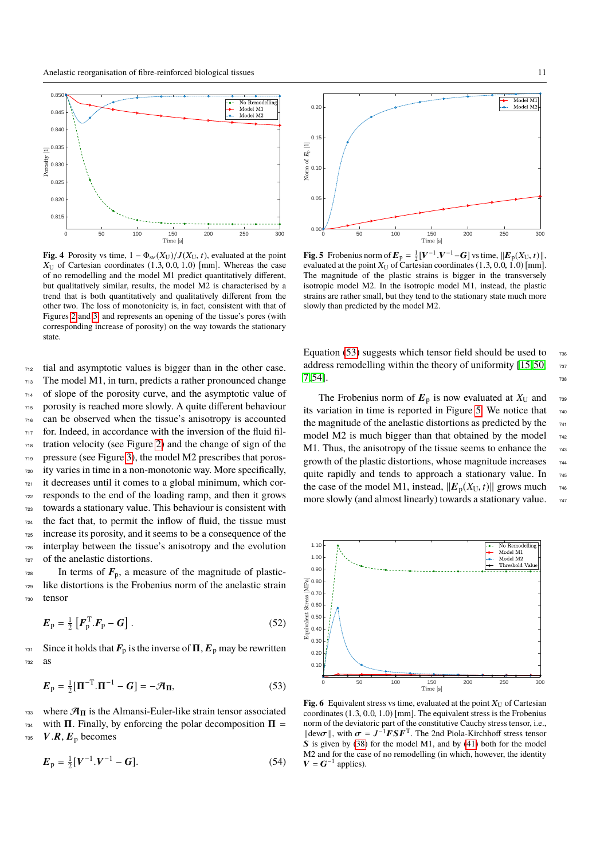

**Fig. 4** Porosity vs time,  $1 - \Phi_{s\nu}(X_U)/J(X_U, t)$ , evaluated at the point  $X_{\text{U}}$  of Cartesian coordinates (1.3, 0.0, 1.0) [mm]. Whereas the case of no remodelling and the model M1 predict quantitatively different, but qualitatively similar, results, the model M2 is characterised by a trend that is both quantitatively and qualitatively different from the other two. The loss of monotonicity is, in fact, consistent with that of Figures 2 and 3, and represents an opening of the tissue's pores (with corresponding increase of porosity) on the way towards the stationary state.

 tial and asymptotic values is bigger than in the other case. The model M1, in turn, predicts a rather pronounced change of slope of the porosity curve, and the asymptotic value of porosity is reached more slowly. A quite different behaviour can be observed when the tissue's anisotropy is accounted for. Indeed, in accordance with the inversion of the fluid fil- tration velocity (see Figure 2) and the change of sign of the pressure (see Figure 3), the model M2 prescribes that poros- ity varies in time in a non-monotonic way. More specifically, it decreases until it comes to a global minimum, which cor- responds to the end of the loading ramp, and then it grows towards a stationary value. This behaviour is consistent with the fact that, to permit the inflow of fluid, the tissue must increase its porosity, and it seems to be a consequence of the interplay between the tissue's anisotropy and the evolution of the anelastic distortions.

 $_{728}$  In terms of  $\mathbf{F}_{\mathrm{p}}$ , a measure of the magnitude of plastic-<sup>729</sup> like distortions is the Frobenius norm of the anelastic strain <sup>730</sup> tensor

$$
E_{\rm p} = \frac{1}{2} \left[ F_{\rm p}^{\rm T} . F_{\rm p} - G \right]. \tag{52}
$$

 $_{731}$  Since it holds that  $\mathbf{F}_p$  is the inverse of  $\Pi$ ,  $\mathbf{E}_p$  may be rewritten <sup>732</sup> as

$$
\boldsymbol{E}_{\mathrm{p}} = \frac{1}{2} [\boldsymbol{\Pi}^{-\mathrm{T}} \cdot \boldsymbol{\Pi}^{-1} - \boldsymbol{G}] = -\mathcal{A}_{\mathrm{II}},\tag{53}
$$

 $733$  where  $\mathcal{A}_{\Pi}$  is the Almansi-Euler-like strain tensor associated  $_{734}$  with  $\Pi$ . Finally, by enforcing the polar decomposition  $\Pi =$  $V.R, E_p$  becomes

$$
E_{\rm p} = \frac{1}{2} [V^{-1} . V^{-1} - G]. \tag{54}
$$



**Fig. 5** Frobenius norm of  $\mathbf{E}_p = \frac{1}{2} [\mathbf{V}^{-1} \cdot \mathbf{V}^{-1} - \mathbf{G}]$  vs time,  $||\mathbf{E}_p(X_U, t)||$ , explored at the point  $X_U$  of Cartesian coordinates (1.3, 0, 0, 1, 0) [mm] evaluated at the point  $X_U$  of Cartesian coordinates (1.3, 0.0, 1.0) [mm]. The magnitude of the plastic strains is bigger in the transversely isotropic model M2. In the isotropic model M1, instead, the plastic strains are rather small, but they tend to the stationary state much more slowly than predicted by the model M2.

Equation (53) suggests which tensor field should be used to  $\pi$ 36 address remodelling within the theory of uniformity  $[15, 50, \frac{737}{290}]$  $7,54$ ].

The Frobenius norm of  $E_p$  is now evaluated at  $X_U$  and 739 its variation in time is reported in Figure 5. We notice that  $_{740}$ the magnitude of the anelastic distortions as predicted by the  $_{741}$ model M2 is much bigger than that obtained by the model  $_{742}$ M1. Thus, the anisotropy of the tissue seems to enhance the  $_{743}$ growth of the plastic distortions, whose magnitude increases  $_{744}$ quite rapidly and tends to approach a stationary value. In 745 the case of the model M1, instead,  $||E_p(X_U, t)||$  grows much 746<br>more slowly (and almost linearly) towards a stationary value. more slowly (and almost linearly) towards a stationary value.



**Fig. 6** Equivalent stress vs time, evaluated at the point  $X_U$  of Cartesian coordinates (1.3, <sup>0</sup>.0, <sup>1</sup>.0) [mm]. The equivalent stress is the Frobenius norm of the deviatoric part of the constitutive Cauchy stress tensor, i.e.,  $\|\text{dev}\sigma\|$ , with  $\sigma = J^{-1} F S F^T$ . The 2nd Piola-Kirchhoff stress tensor<br>S is given by (38) for the model M1 and by (41) both for the model S is given by (38) for the model M1, and by (41) both for the model M2 and for the case of no remodelling (in which, however, the identity  $V = G^{-1}$  applies).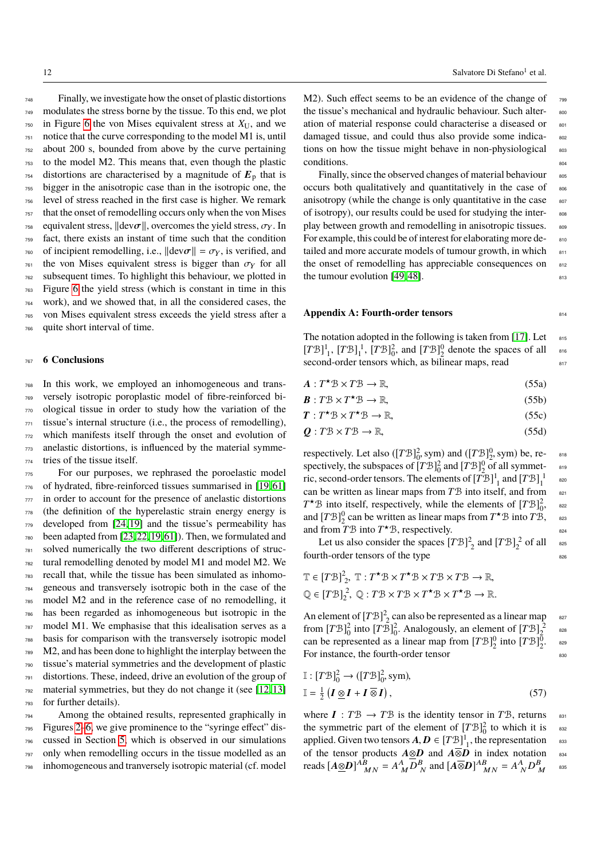Finally, we investigate how the onset of plastic distortions modulates the stress borne by the tissue. To this end, we plot in Figure 6 the von Mises equivalent stress at  $X_U$ , and we notice that the curve corresponding to the model M1 is, until about 200 s, bounded from above by the curve pertaining to the model M2. This means that, even though the plastic distortions are characterised by a magnitude of  $E_p$  that is bigger in the anisotropic case than in the isotropic one, the level of stress reached in the first case is higher. We remark that the onset of remodelling occurs only when the von Mises <sup>758</sup> equivalent stress,  $\|\text{dev}\sigma\|$ , overcomes the yield stress,  $\sigma_Y$ . In  $\sigma_Y$  fact, there exists an instant of time such that the condition fact, there exists an instant of time such that the condition <sup>760</sup> of incipient remodelling, i.e.,  $\|\text{dev}\sigma\| = \sigma_Y$ , is verified, and the von Mises equivalent stress is bigger than  $\sigma_Y$  for all <sup>761</sup> the von Mises equivalent stress is bigger than  $\sigma_Y$  for all  $\tau_{\text{F2}}$  subsequent times. To highlight this behaviour, we plotted in subsequent times. To highlight this behaviour, we plotted in Figure 6 the yield stress (which is constant in time in this work), and we showed that, in all the considered cases, the von Mises equivalent stress exceeds the yield stress after a quite short interval of time.

## <sup>767</sup> **6 Conclusions**

 In this work, we employed an inhomogeneous and trans- versely isotropic poroplastic model of fibre-reinforced bi- ological tissue in order to study how the variation of the tissue's internal structure (i.e., the process of remodelling), which manifests itself through the onset and evolution of anelastic distortions, is influenced by the material symme-tries of the tissue itself.

 For our purposes, we rephrased the poroelastic model of hydrated, fibre-reinforced tissues summarised in [19, 61] in order to account for the presence of anelastic distortions (the definition of the hyperelastic strain energy energy is developed from [24, 19] and the tissue's permeability has been adapted from [23, 22, 19, 61]). Then, we formulated and solved numerically the two different descriptions of struc- tural remodelling denoted by model M1 and model M2. We recall that, while the tissue has been simulated as inhomo- geneous and transversely isotropic both in the case of the model M2 and in the reference case of no remodelling, it has been regarded as inhomogeneous but isotropic in the model M1. We emphasise that this idealisation serves as a basis for comparison with the transversely isotropic model M2, and has been done to highlight the interplay between the tissue's material symmetries and the development of plastic distortions. These, indeed, drive an evolution of the group of material symmetries, but they do not change it (see [12, 13] for further details).

 Among the obtained results, represented graphically in Figures 2–6, we give prominence to the "syringe effect" dis- cussed in Section 5, which is observed in our simulations only when remodelling occurs in the tissue modelled as an inhomogeneous and tranversely isotropic material (cf. model

M2). Such effect seems to be an evidence of the change of  $\frac{799}{7990}$ the tissue's mechanical and hydraulic behaviour. Such alter-<br>soo ation of material response could characterise a diseased or  $801$ damaged tissue, and could thus also provide some indications on how the tissue might behave in non-physiological 803  $conditions.$ 

Finally, since the observed changes of material behaviour  $805$ occurs both qualitatively and quantitatively in the case of 806 anisotropy (while the change is only quantitative in the case  $807$ of isotropy), our results could be used for studying the inter-<br>sos play between growth and remodelling in anisotropic tissues.  $809$ For example, this could be of interest for elaborating more detailed and more accurate models of tumour growth, in which 811 the onset of remodelling has appreciable consequences on  $812$ the tumour evolution  $[49, 48]$ .

## **Appendix A: Fourth-order tensors** 814

The notation adopted in the following is taken from [17]. Let  $815$  $[T\mathcal{B}]_1^1$ ,  $[T\mathcal{B}]_1^2$ ,  $[T\mathcal{B}]_0^2$ , and  $[T\mathcal{B}]_2^0$  denote the spaces of all 816 second-order tensors which, as bilinear maps, read  $817$ 

- $A: T^*B \times T^*B \to \mathbb{R},$  (55a)
- $B: T^{\circledast} \times T^{\star} \mathcal{B} \to \mathbb{R},$  (55b)
- $T: T^{\star} \mathcal{B} \times T$  $\star$   $\mathcal{B} \to \mathbb{R}$ , (55c)

$$
Q: T\mathcal{B} \times T\mathcal{B} \to \mathbb{R},\tag{55d}
$$

respectively. Let also ( $[TB]_0^2$ , sym) and ( $[TB]_2^0$ , sym) be, re-<br>spectively, the subspaces of  $[TB]_2^2$  and  $[TB]_0^0$  of all symmet spectively, the subspaces of  $[T\mathcal{B}]_0^2$  and  $[T\mathcal{B}]_2^0$  of all symmetric, second-order tensors. The elements of  $[T\mathcal{B}]_1^1$  and  $[T\mathcal{B}]_1^1$ 820 can be written as linear maps from *T'B* into itself, and from 821  $T^*B$  into itself, respectively, while the elements of  $[TB]_0^2$ , <sup>822</sup> and  $[T\mathcal{B}]_2^0$  can be written as linear maps from  $T^{\star}\mathcal{B}$  into  $T\mathcal{B}$ , assets and from  $T\mathcal{B}$  into  $T^{\star}\mathcal{B}$ , respectively.

Let us also consider the spaces  $[T\mathcal{B}]_2^2$  and  $[T\mathcal{B}]_2^2$  of all asset fourth-order tensors of the type

$$
\mathbb{T} \in [T\mathcal{B}]_2^2, \ \mathbb{T} : T^{\star}\mathcal{B} \times T^{\star}\mathcal{B} \times T\mathcal{B} \times T\mathcal{B} \to \mathbb{R},
$$
  

$$
\mathbb{Q} \in [T\mathcal{B}]_2^2, \ \mathbb{Q} : T\mathcal{B} \times T\mathcal{B} \times T^{\star}\mathcal{B} \times T^{\star}\mathcal{B} \to \mathbb{R}.
$$

An element of  $[T\mathcal{B}]_2^2$  can also be represented as a linear map 827 from  $[T\mathcal{B}]_0^2$  into  $[T\mathcal{B}]_0^2$ . Analogously, an element of  $[T\mathcal{B}]_2^2$ 828 can be represented as a linear map from  $[T\mathcal{B}]_2^0$  into  $[T\mathcal{B}]_2^0$ . <sup>829</sup> For instance, the fourth-order tensor 830

$$
\mathbb{I}: [T\mathcal{B}]_0^2 \to ([T\mathcal{B}]_0^2, \text{sym}),
$$
  

$$
\mathbb{I} = \frac{1}{2} (I \underline{\otimes} I + I \overline{\otimes} I),
$$
 (57)

where  $I: T\mathcal{B} \to T\mathcal{B}$  is the identity tensor in T $\mathcal{B}$ , returns 831 the symmetric part of the element of  $[T\mathcal{B}]_0^2$  to which it is <sup>832</sup> applied. Given two tensors  $A, D \in [T \mathcal{B}]^1_1$ , the representation ssection of the tensor products  $A \otimes D$  and  $A \overline{\otimes} D$  in index potation of the tensor products  $A \otimes D$  and  $A \overline{\otimes} D$  in index notation 834 reads  $[A \underline{\otimes} D]^{AB}_{MM} = A^A_{M} D^B_{N}$  and  $[A \overline{\otimes} D]^{AB}_{MM} = A^A_{N} D^B_{M}$  asset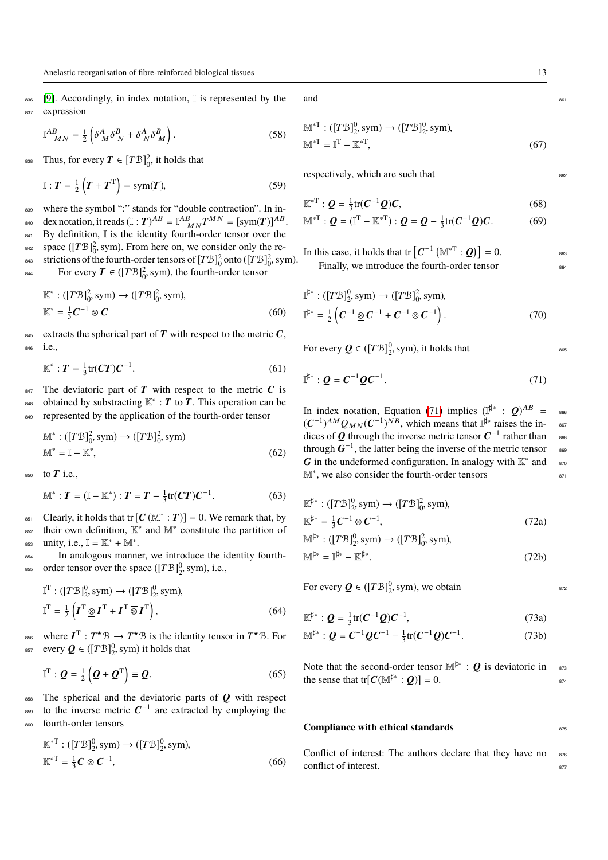836 [9]. Accordingly, in index notation, I is represented by the 837 expression

$$
\mathbb{I}^{AB}_{\ M N} = \frac{1}{2} \left( \delta^A_M \delta^B_N + \delta^A_N \delta^B_M \right). \tag{58}
$$

<sup>838</sup> Thus, for every  $T \in [T\mathcal{B}]_0^2$ , it holds that

$$
\mathbb{I}: T = \frac{1}{2} \left( T + T^{\mathrm{T}} \right) = \mathrm{sym}(T), \tag{59}
$$

839 where the symbol ":" stands for "double contraction". In in-<sup>840</sup> dex notation, it reads  $(\mathbb{I}:T)^{AB} = \mathbb{I}^{AB}_{MN}T^{MN} = [\text{sym}(T)]^{AB}.$ 841 By definition, I is the identity fourth-order tensor over the <sup>842</sup> space ([*T*B]<sup>2</sup><sub>0</sub>, sym). From here on, we consider only the restrictions of the fourth-order tensors of  $[TB]_0^2$  onto  $(TB]_0^2$ , sym). For every  $T \in (\left[T\mathcal{B}\right]_0^2, \text{sym})$ , the fourth-order tensor

$$
\mathbb{K}^* : ([T\mathcal{B}]_0^2, \text{sym}) \to ([T\mathcal{B}]_0^2, \text{sym}),
$$
  

$$
\mathbb{K}^* = \frac{1}{3} \mathbf{C}^{-1} \otimes \mathbf{C}
$$
 (60)

845 extracts the spherical part of  $T$  with respect to the metric  $C$ , <sup>846</sup> i.e.,

$$
\mathbb{K}^* : T = \frac{1}{3} \text{tr}(CT) C^{-1}.
$$

 $847$  The deviatoric part of T with respect to the metric C is <sup>848</sup> obtained by substracting  $K^* : T$  to  $T$ . This operation can be 849 represented by the application of the fourth-order tensor

$$
\mathbb{M}^* : ([T\mathcal{B}]_0^2, \text{sym}) \to ([T\mathcal{B}]_0^2, \text{sym})
$$
  

$$
\mathbb{M}^* = \mathbb{I} - \mathbb{K}^*,
$$
 (62)

to  $T$  i.e.,

$$
\mathbb{M}^* : T = (\mathbb{I} - \mathbb{K}^*) : T = T - \frac{1}{3} \text{tr}(CT) C^{-1}.
$$
 (63)

EXECUTE: EXECUTE: EXECUTE:  $[C(\mathbb{M}^* : T)] = 0$ . We remark that, by <sup>852</sup> their own definition,  $K^*$  and  $M^*$  constitute the partition of  $\text{unity, i.e., } \mathbb{I} = \mathbb{K}^* + \mathbb{M}^*.$ 

<sup>854</sup> In analogous manner, we introduce the identity fourth-<sup>855</sup> order tensor over the space  $([TB]_2^0, sym)$ , i.e.,

$$
\mathbb{I}^{\mathrm{T}} : ([T\mathcal{B}]_2^0, \text{sym}) \to ([T\mathcal{B}]_2^0, \text{sym}),
$$
  

$$
\mathbb{I}^{\mathrm{T}} = \frac{1}{2} \left( \boldsymbol{I}^{\mathrm{T}} \underline{\otimes} \boldsymbol{I}^{\mathrm{T}} + \boldsymbol{I}^{\mathrm{T}} \overline{\otimes} \boldsymbol{I}^{\mathrm{T}} \right),
$$
(64)

<sup>856</sup> where  $I^T : T^*B \to T^*B$  is the identity tensor in  $T^*B$ . For <sup>857</sup> every  $Q \in ([T\mathcal{B}]_2^0, \text{sym})$  it holds that

$$
\mathbb{I}^{\mathrm{T}}: \mathbf{Q} = \frac{1}{2} \left( \mathbf{Q} + \mathbf{Q}^{\mathrm{T}} \right) \equiv \mathbf{Q}.
$$
 (65)

 $858$  The spherical and the deviatoric parts of  $Q$  with respect <sup>859</sup> to the inverse metric  $C^{-1}$  are extracted by employing the 860 fourth-order tensors

$$
\mathbb{K}^{*T} : ([T\mathcal{B}]_2^0, \text{sym}) \to ([T\mathcal{B}]_2^0, \text{sym}),
$$
  

$$
\mathbb{K}^{*T} = \frac{1}{3} \mathbf{C} \otimes \mathbf{C}^{-1},
$$
 (66)

and  $\frac{861}{861}$ 

$$
\mathbb{M}^{*T} : ([T\mathcal{B}]_2^0, \text{sym}) \to ([T\mathcal{B}]_2^0, \text{sym}),
$$
  

$$
\mathbb{M}^{*T} = \mathbb{I}^T - \mathbb{K}^{*T},
$$
 (67)

respectively, which are such that  $862$ 

$$
\mathbb{K}^{*T}: Q = \frac{1}{3} \text{tr}(C^{-1}Q)C,
$$
\n(68)

$$
\mathbb{M}^{*T}: \mathbf{Q} = (\mathbb{I}^T - \mathbb{K}^{*T}): \mathbf{Q} = \mathbf{Q} - \frac{1}{3}\text{tr}(\mathbf{C}^{-1}\mathbf{Q})\mathbf{C}.
$$
 (69)

In this case, it holds that tr  $[C^{-1} (\mathbb{M}^*T : \mathcal{Q})] = 0.$ Finally, we introduce the fourth-order tensor 864

$$
\mathbb{I}^{\sharp*}: ([T\mathcal{B}]_2^0, \text{sym}) \to ([T\mathcal{B}]_0^2, \text{sym}),
$$
  

$$
\mathbb{I}^{\sharp*} = \frac{1}{2} \left( C^{-1} \underline{\otimes} C^{-1} + C^{-1} \overline{\otimes} C^{-1} \right). \tag{70}
$$

For every  $Q \in ([TB]_2^0, sym)$ , it holds that <sup>865</sup>

$$
\mathbb{I}^{\sharp *}: Q = C^{-1} Q C^{-1}.
$$
 (71)

In index notation, Equation (71) implies  $(\mathbb{I}^{\sharp*}: Q)^{AB} =$  see  $(C^{-1})^{AM} Q_{MN} (C^{-1})^{NB}$ , which means that  $\mathbb{I}^{\sharp*}$  raises the indices of Q through the inverse metric tensor  $C^{-1}$  rather than asset through  $G^{-1}$ , the latter being the inverse of the metric tensor asset G in the undeformed configuration. In analogy with  $K^*$  and  $\mathbb{R}^*$ M<sup>\*</sup>, we also consider the fourth-order tensors <sup>871</sup>

$$
\mathbb{K}^{\sharp*}: ([T\mathcal{B}]_2^0, \text{sym}) \to ([T\mathcal{B}]_0^2, \text{sym}),
$$
  
\n
$$
\mathbb{K}^{\sharp*} = \frac{1}{3}C^{-1} \otimes C^{-1},
$$
  
\n
$$
\mathbb{M}^{\sharp*}: ([T\mathcal{B}]_2^0, \text{sym}) \to ([T\mathcal{B}]_0^2, \text{sym}),
$$
  
\n
$$
\mathbb{M}^{\sharp*} = \mathbb{I}^{\sharp*} - \mathbb{K}^{\sharp*}.
$$
\n(72b)

For every  $\mathbf{Q} \in ([T\mathcal{B}]_2^0, \text{sym})$ , we obtain  $\frac{\text{S72}}{2}$ 

$$
\mathbb{K}^{\sharp*}: \mathcal{Q} = \frac{1}{3}\text{tr}(\mathcal{C}^{-1}\mathcal{Q})\mathcal{C}^{-1},\tag{73a}
$$

$$
\mathbb{M}^{\sharp*}: Q = C^{-1} Q C^{-1} - \frac{1}{3} \text{tr}(C^{-1} Q) C^{-1}.
$$
 (73b)

Note that the second-order tensor  $\mathbb{M}^{\sharp\ast} : \mathbf{Q}$  is deviatoric in  $\mathbb{R}^3$ the sense that tr[ $C(\mathbb{M}^{\sharp*}:Q)$ ] = 0. <sup>874</sup>

#### **Compliance with ethical standards** 875

Conflict of interest: The authors declare that they have no  $876$ conflict of interest.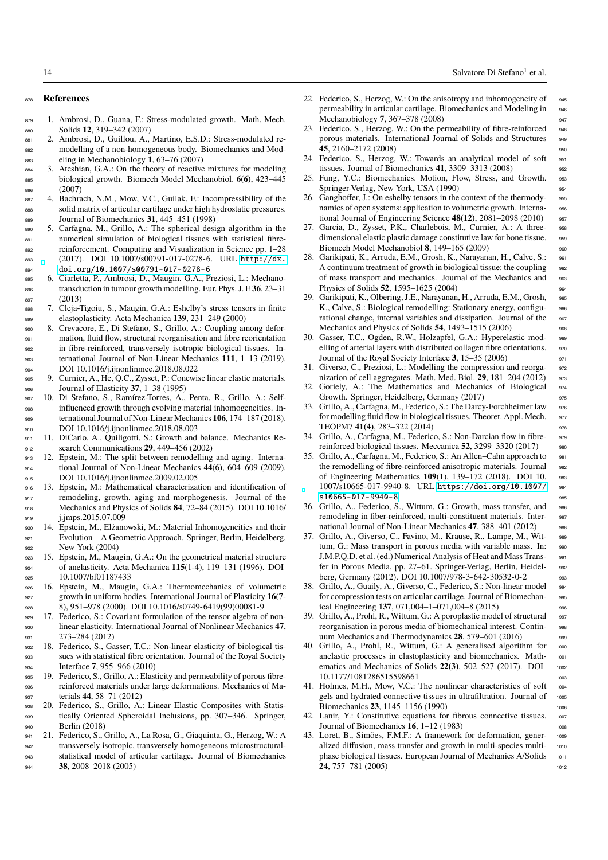#### <sup>878</sup> **References**

- <sup>879</sup> 1. Ambrosi, D., Guana, F.: Stress-modulated growth. Math. Mech. <sup>880</sup> Solids **12**, 319–342 (2007)
- <sup>881</sup> 2. Ambrosi, D., Guillou, A., Martino, E.S.D.: Stress-modulated re-<sup>882</sup> modelling of a non-homogeneous body. Biomechanics and Mod-<sup>883</sup> eling in Mechanobiology **1**, 63–76 (2007)
- <sup>884</sup> 3. Ateshian, G.A.: On the theory of reactive mixtures for modeling <sup>885</sup> biological growth. Biomech Model Mechanobiol. **6(6)**, 423–445 886 (2007)
- <sup>887</sup> 4. Bachrach, N.M., Mow, V.C., Guilak, F.: Incompressibility of the <sup>888</sup> solid matrix of articular cartilage under high hydrostatic pressures.
- <sup>889</sup> Journal of Biomechanics **31**, 445–451 (1998) <sup>890</sup> 5. Carfagna, M., Grillo, A.: The spherical design algorithm in the <sup>891</sup> numerical simulation of biological tissues with statistical fibre-<sup>892</sup> reinforcement. Computing and Visualization in Science pp. 1–28 <sup>893</sup> (2017). DOI 10.1007/s00791-017-0278-6. URL [http://dx.](http://dx.doi.org/10.1007/s00791-017-0278-6) <sup>894</sup> [doi.org/10.1007/s00791-017-0278-6](http://dx.doi.org/10.1007/s00791-017-0278-6)
- <sup>895</sup> 6. Ciarletta, P., Ambrosi, D., Maugin, G.A., Preziosi, L.: Mechano-<sup>896</sup> transduction in tumour growth modelling. Eur. Phys. J. E **36**, 23–31  $\frac{897}{898}$  (2013)
- <sup>898</sup> 7. Cleja-Tigoiu, S., Maugin, G.A.: Eshelby's stress tensors in finite <sup>899</sup> elastoplasticity. Acta Mechanica **139**, 231–249 (2000)
- <sup>900</sup> 8. Crevacore, E., Di Stefano, S., Grillo, A.: Coupling among defor-<sup>901</sup> mation, fluid flow, structural reorganisation and fibre reorientation <sup>902</sup> in fibre-reinforced, transversely isotropic biological tissues. In-<sup>903</sup> ternational Journal of Non-Linear Mechanics **111**, 1–13 (2019). <sup>904</sup> DOI 10.1016/j.ijnonlinmec.2018.08.022
- <sup>905</sup> 9. Curnier, A., He, Q.C., Zysset, P.: Conewise linear elastic materials. <sup>906</sup> Journal of Elasticity **37**, 1–38 (1995)
- <sup>907</sup> 10. Di Stefano, S., Ramírez-Torres, A., Penta, R., Grillo, A.: Self-<sup>908</sup> influenced growth through evolving material inhomogeneities. In-<sup>909</sup> ternational Journal of Non-Linear Mechanics **106**, 174–187 (2018). 910 DOI 10.1016/j.ijnonlinmec.2018.08.003
- <sup>911</sup> 11. DiCarlo, A., Quiligotti, S.: Growth and balance. Mechanics Re-<sup>912</sup> search Communications **29**, 449–456 (2002)
- <sup>913</sup> 12. Epstein, M.: The split between remodelling and aging. Interna-<sup>914</sup> tional Journal of Non-Linear Mechanics **44**(6), 604–609 (2009). 915 **DOI** 10.1016/j.ijnonlinmec.2009.02.005
- <sup>916</sup> 13. Epstein, M.: Mathematical characterization and identification of <sup>917</sup> remodeling, growth, aging and morphogenesis. Journal of the <sup>918</sup> Mechanics and Physics of Solids **84**, 72–84 (2015). DOI 10.1016/ 919 **j.jmps.2015.07.009**
- <sup>920</sup> 14. Epstein, M., Elżanowski, M.: Material Inhomogeneities and their <sup>921</sup> Evolution – A Geometric Approach. Springer, Berlin, Heidelberg, <sup>922</sup> New York (2004)
- <sup>923</sup> 15. Epstein, M., Maugin, G.A.: On the geometrical material structure <sup>924</sup> of anelasticity. Acta Mechanica **115**(1-4), 119–131 (1996). DOI 925 10.1007/bf01187433
- <sup>926</sup> 16. Epstein, M., Maugin, G.A.: Thermomechanics of volumetric <sup>927</sup> growth in uniform bodies. International Journal of Plasticity **16**(7- <sup>928</sup> 8), 951–978 (2000). DOI 10.1016/s0749-6419(99)00081-9
- <sup>929</sup> 17. Federico, S.: Covariant formulation of the tensor algebra of non-<sup>930</sup> linear elasticity. International Journal of Nonlinear Mechanics **47**, 931 273–284 (2012)
- <sup>932</sup> 18. Federico, S., Gasser, T.C.: Non-linear elasticity of biological tis-<sup>933</sup> sues with statistical fibre orientation. Journal of the Royal Society 934 Interface **7**, 955–966 (2010)<br>935 19. Federico, S., Grillo, A.: Elas
- 935 19. Federico, S., Grillo, A.: Elasticity and permeability of porous fibre-<sup>936</sup> reinforced materials under large deformations. Mechanics of Ma-<sup>937</sup> terials **44**, 58–71 (2012)
- <sup>938</sup> 20. Federico, S., Grillo, A.: Linear Elastic Composites with Statis-<sup>939</sup> tically Oriented Spheroidal Inclusions, pp. 307–346. Springer, 940 Berlin (2018)
- <sup>941</sup> 21. Federico, S., Grillo, A., La Rosa, G., Giaquinta, G., Herzog, W.: A <sup>942</sup> transversely isotropic, transversely homogeneous microstructural-<sup>943</sup> statistical model of articular cartilage. Journal of Biomechanics <sup>944</sup> **38**, 2008–2018 (2005)
- 22. Federico, S., Herzog, W.: On the anisotropy and inhomogeneity of 945 permeability in articular cartilage. Biomechanics and Modeling in <sup>946</sup> Mechanobiology **7**, 367–378 (2008) <sup>947</sup>
- 23. Federico, S., Herzog, W.: On the permeability of fibre-reinforced 948 porous materials. International Journal of Solids and Structures 949 **45**, 2160–2172 (2008) 950
- 24. Federico, S., Herzog, W.: Towards an analytical model of soft 951 tissues. Journal of Biomechanics **41**, 3309–3313 (2008) <sup>952</sup>
- Fung, Y.C.: Biomechanics. Motion, Flow, Stress, and Growth. 953 Springer-Verlag, New York, USA (1990) 954
- 26. Ganghoffer, J.: On eshelby tensors in the context of the thermody- <sup>955</sup> namics of open systems: application to volumetric growth. Interna-<br>s56 tional Journal of Engineering Science **48(12)**, 2081–2098 (2010) <sup>957</sup>
- 27. Garcia, D., Zysset, P.K., Charlebois, M., Curnier, A.: A three- <sup>958</sup> dimensional elastic plastic damage constitutive law for bone tissue. 959 Biomech Model Mechanobiol **8**, 149–165 (2009) <sup>960</sup>
- 28. Garikipati, K., Arruda, E.M., Grosh, K., Narayanan, H., Calve, S.: 961 A continuum treatment of growth in biological tissue: the coupling 962 of mass transport and mechanics. Journal of the Mechanics and <sup>963</sup> Physics of Solids **52**, 1595–1625 (2004) 964
- 29. Garikipati, K., Olbering, J.E., Narayanan, H., Arruda, E.M., Grosh, <sup>965</sup> K., Calve, S.: Biological remodelling: Stationary energy, configu-<br>966 rational change, internal variables and dissipation. Journal of the 967 Mechanics and Physics of Solids **54**, 1493–1515 (2006) <sup>968</sup>
- 30. Gasser, T.C., Ogden, R.W., Holzapfel, G.A.: Hyperelastic mod- <sup>969</sup> elling of arterial layers with distributed collagen fibre orientations. 970 Journal of the Royal Society Interface **3**, 15–35 (2006) <sup>971</sup>
- 31. Giverso, C., Preziosi, L.: Modelling the compression and reorga- <sup>972</sup> nization of cell aggregates. Math. Med. Biol. **29**, 181–204 (2012) <sup>973</sup>
- Goriely, A.: The Mathematics and Mechanics of Biological 974 Growth. Springer, Heidelberg, Germany (2017) 975
- 33. Grillo, A., Carfagna, M., Federico, S.: The Darcy-Forchheimer law 976 for modelling fluid flow in biological tissues. Theoret. Appl. Mech. 977 TEOPM7 **41(4)**, 283–322 (2014) 978
- 34. Grillo, A., Carfagna, M., Federico, S.: Non-Darcian flow in fibre- <sup>979</sup> reinforced biological tissues. Meccanica **52**, 3299–3320 (2017) <sup>980</sup>
- Grillo, A., Carfagna, M., Federico, S.: An Allen–Cahn approach to 981 the remodelling of fibre-reinforced anisotropic materials. Journal 982 of Engineering Mathematics **109**(1), 139–172 (2018). DOI 10. <sup>983</sup> 1007/s10665-017-9940-8. URL [https://doi.org/10.1007/](https://doi.org/10.1007/s10665-017-9940-8) <sup>984</sup>  $s10665 - 017 - 9940 - 8$
- 36. Grillo, A., Federico, S., Wittum, G.: Growth, mass transfer, and <sup>986</sup> remodeling in fiber-reinforced, multi-constituent materials. Inter-<br>say national Journal of Non-Linear Mechanics 47, 388–401 (2012) 988
- 37. Grillo, A., Giverso, C., Favino, M., Krause, R., Lampe, M., Wit- <sup>989</sup> tum, G.: Mass transport in porous media with variable mass. In: 990 J.M.P.Q.D. et al. (ed.) Numerical Analysis of Heat and Mass Trans- <sup>991</sup> fer in Porous Media, pp. 27–61. Springer-Verlag, Berlin, Heidel- <sup>992</sup> berg, Germany (2012). DOI 10.1007/978-3-642-30532-0-2 993
- 38. Grillo, A., Guaily, A., Giverso, C., Federico, S.: Non-linear model 994 for compression tests on articular cartilage. Journal of Biomechan- <sup>995</sup> ical Engineering **137**, 071,004–1–071,004–8 (2015) <sup>996</sup>
- 39. Grillo, A., Prohl, R., Wittum, G.: A poroplastic model of structural 997 reorganisation in porous media of biomechanical interest. Contin- <sup>998</sup> uum Mechanics and Thermodynamics **28**, 579–601 (2016) 999
- 40. Grillo, A., Prohl, R., Wittum, G.: A generalised algorithm for 1000 anelastic processes in elastoplasticity and biomechanics. Math- <sup>1001</sup> ematics and Mechanics of Solids 22(3), 502-527 (2017). DOI 1002 10.1177/1081286515598661 1003
- 41. Holmes, M.H., Mow, V.C.: The nonlinear characteristics of soft 1004 gels and hydrated connective tissues in ultrafiltration. Journal of 1005 Biomechanics **23**, 1145–1156 (1990) 1006
- 42. Lanir, Y.: Constitutive equations for fibrous connective tissues. 1007 Journal of Biomechanics **16**, 1–12 (1983) <sup>1008</sup>
- 43. Loret, B., Simões, F.M.F.: A framework for deformation, gener- <sup>1009</sup> alized diffusion, mass transfer and growth in multi-species multi- 1010 phase biological tissues. European Journal of Mechanics A/Solids 1011 **24**, 757–781 (2005) 1012